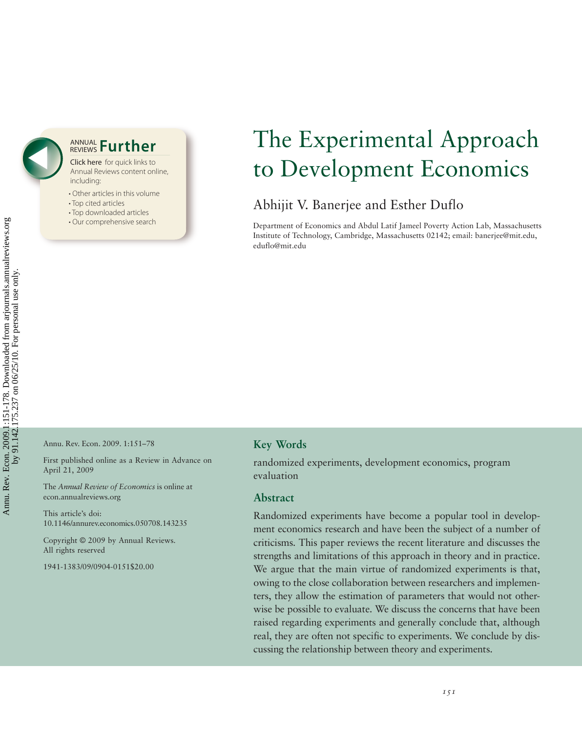### **ANNUAL Further**

Click here for quick links to Annual Reviews content online, including:

- Other articles in this volume
- Top cited articles
- Top downloaded articles
- Our comprehensive search

## The Experimental Approach to Development Economics

#### Abhijit V. Banerjee and Esther Duflo

Department of Economics and Abdul Latif Jameel Poverty Action Lab, Massachusetts Institute of Technology, Cambridge, Massachusetts 02142; email: banerjee@mit.edu, eduflo@mit.edu

Annu. Rev. Econ. 2009. 1:151–78

First published online as a Review in Advance on April 21, 2009

The Annual Review of Economics is online at econ.annualreviews.org

This article's doi: 10.1146/annurev.economics.050708.143235

Copyright © 2009 by Annual Reviews. All rights reserved

1941-1383/09/0904-0151\$20.00

#### Key Words

randomized experiments, development economics, program evaluation

#### Abstract

Randomized experiments have become a popular tool in development economics research and have been the subject of a number of criticisms. This paper reviews the recent literature and discusses the strengths and limitations of this approach in theory and in practice. We argue that the main virtue of randomized experiments is that, owing to the close collaboration between researchers and implementers, they allow the estimation of parameters that would not otherwise be possible to evaluate. We discuss the concerns that have been raised regarding experiments and generally conclude that, although real, they are often not specific to experiments. We conclude by discussing the relationship between theory and experiments.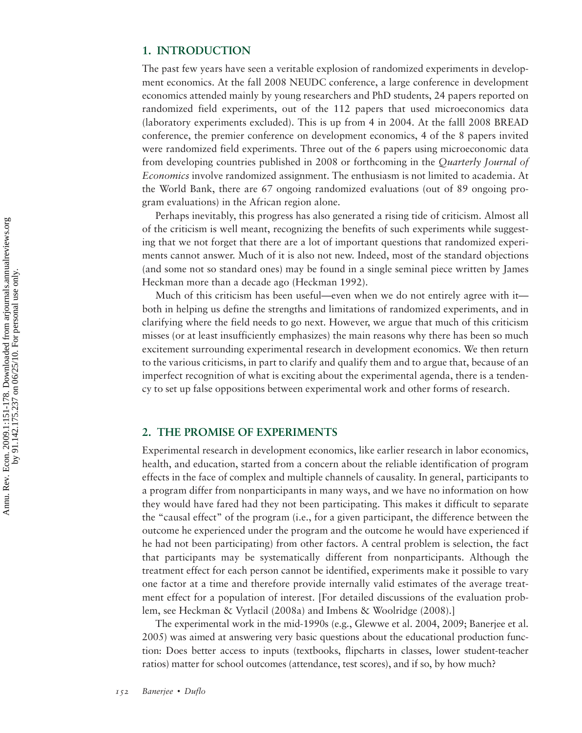#### 1. INTRODUCTION

The past few years have seen a veritable explosion of randomized experiments in development economics. At the fall 2008 NEUDC conference, a large conference in development economics attended mainly by young researchers and PhD students, 24 papers reported on randomized field experiments, out of the 112 papers that used microeconomics data (laboratory experiments excluded). This is up from 4 in 2004. At the falll 2008 BREAD conference, the premier conference on development economics, 4 of the 8 papers invited were randomized field experiments. Three out of the 6 papers using microeconomic data from developing countries published in 2008 or forthcoming in the Quarterly Journal of Economics involve randomized assignment. The enthusiasm is not limited to academia. At the World Bank, there are 67 ongoing randomized evaluations (out of 89 ongoing program evaluations) in the African region alone.

Perhaps inevitably, this progress has also generated a rising tide of criticism. Almost all of the criticism is well meant, recognizing the benefits of such experiments while suggesting that we not forget that there are a lot of important questions that randomized experiments cannot answer. Much of it is also not new. Indeed, most of the standard objections (and some not so standard ones) may be found in a single seminal piece written by James Heckman more than a decade ago (Heckman 1992).

Much of this criticism has been useful—even when we do not entirely agree with it both in helping us define the strengths and limitations of randomized experiments, and in clarifying where the field needs to go next. However, we argue that much of this criticism misses (or at least insufficiently emphasizes) the main reasons why there has been so much excitement surrounding experimental research in development economics. We then return to the various criticisms, in part to clarify and qualify them and to argue that, because of an imperfect recognition of what is exciting about the experimental agenda, there is a tendency to set up false oppositions between experimental work and other forms of research.

#### 2. THE PROMISE OF EXPERIMENTS

Experimental research in development economics, like earlier research in labor economics, health, and education, started from a concern about the reliable identification of program effects in the face of complex and multiple channels of causality. In general, participants to a program differ from nonparticipants in many ways, and we have no information on how they would have fared had they not been participating. This makes it difficult to separate the "causal effect" of the program (i.e., for a given participant, the difference between the outcome he experienced under the program and the outcome he would have experienced if he had not been participating) from other factors. A central problem is selection, the fact that participants may be systematically different from nonparticipants. Although the treatment effect for each person cannot be identified, experiments make it possible to vary one factor at a time and therefore provide internally valid estimates of the average treatment effect for a population of interest. [For detailed discussions of the evaluation problem, see Heckman & Vytlacil (2008a) and Imbens & Woolridge (2008).]

The experimental work in the mid-1990s (e.g., Glewwe et al. 2004, 2009; Banerjee et al. 2005) was aimed at answering very basic questions about the educational production function: Does better access to inputs (textbooks, flipcharts in classes, lower student-teacher ratios) matter for school outcomes (attendance, test scores), and if so, by how much?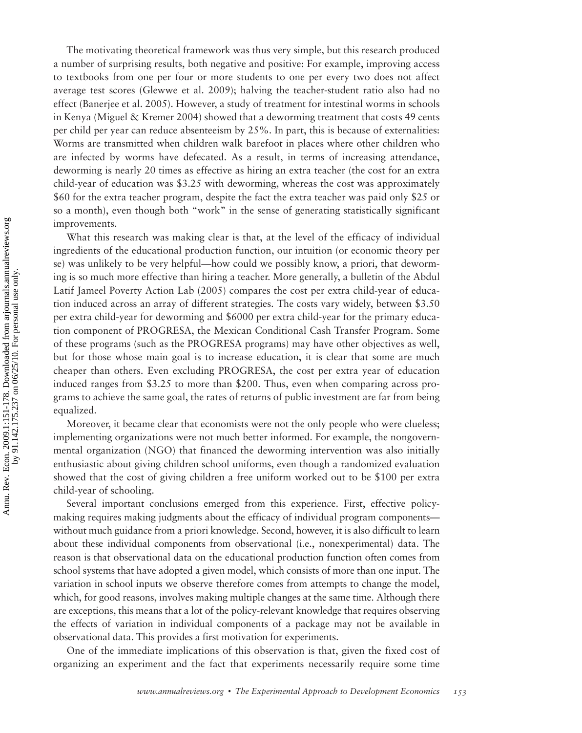The motivating theoretical framework was thus very simple, but this research produced a number of surprising results, both negative and positive: For example, improving access to textbooks from one per four or more students to one per every two does not affect average test scores (Glewwe et al. 2009); halving the teacher-student ratio also had no effect (Banerjee et al. 2005). However, a study of treatment for intestinal worms in schools in Kenya (Miguel & Kremer 2004) showed that a deworming treatment that costs 49 cents per child per year can reduce absenteeism by 25%. In part, this is because of externalities: Worms are transmitted when children walk barefoot in places where other children who are infected by worms have defecated. As a result, in terms of increasing attendance, deworming is nearly 20 times as effective as hiring an extra teacher (the cost for an extra child-year of education was \$3.25 with deworming, whereas the cost was approximately \$60 for the extra teacher program, despite the fact the extra teacher was paid only \$25 or so a month), even though both "work" in the sense of generating statistically significant improvements.

What this research was making clear is that, at the level of the efficacy of individual ingredients of the educational production function, our intuition (or economic theory per se) was unlikely to be very helpful—how could we possibly know, a priori, that deworming is so much more effective than hiring a teacher. More generally, a bulletin of the Abdul Latif Jameel Poverty Action Lab (2005) compares the cost per extra child-year of education induced across an array of different strategies. The costs vary widely, between \$3.50 per extra child-year for deworming and \$6000 per extra child-year for the primary education component of PROGRESA, the Mexican Conditional Cash Transfer Program. Some of these programs (such as the PROGRESA programs) may have other objectives as well, but for those whose main goal is to increase education, it is clear that some are much cheaper than others. Even excluding PROGRESA, the cost per extra year of education induced ranges from \$3.25 to more than \$200. Thus, even when comparing across programs to achieve the same goal, the rates of returns of public investment are far from being equalized.

Moreover, it became clear that economists were not the only people who were clueless; implementing organizations were not much better informed. For example, the nongovernmental organization (NGO) that financed the deworming intervention was also initially enthusiastic about giving children school uniforms, even though a randomized evaluation showed that the cost of giving children a free uniform worked out to be \$100 per extra child-year of schooling.

Several important conclusions emerged from this experience. First, effective policymaking requires making judgments about the efficacy of individual program components without much guidance from a priori knowledge. Second, however, it is also difficult to learn about these individual components from observational (i.e., nonexperimental) data. The reason is that observational data on the educational production function often comes from school systems that have adopted a given model, which consists of more than one input. The variation in school inputs we observe therefore comes from attempts to change the model, which, for good reasons, involves making multiple changes at the same time. Although there are exceptions, this means that a lot of the policy-relevant knowledge that requires observing the effects of variation in individual components of a package may not be available in observational data. This provides a first motivation for experiments.

One of the immediate implications of this observation is that, given the fixed cost of organizing an experiment and the fact that experiments necessarily require some time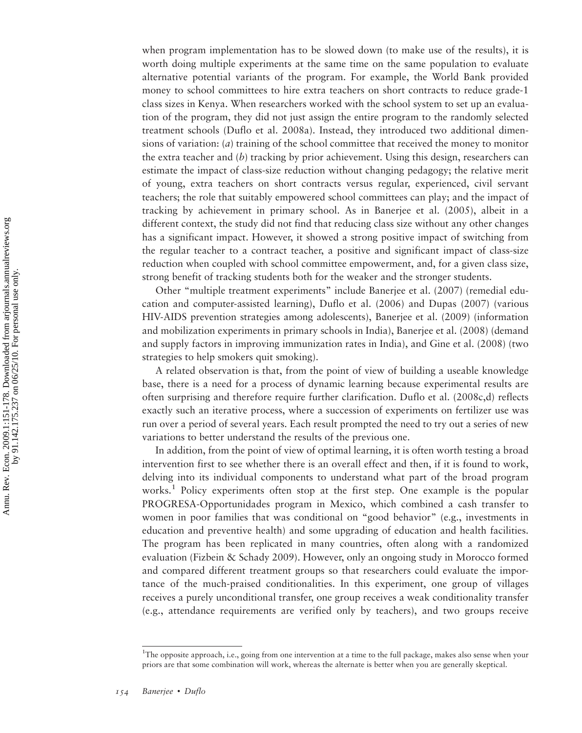when program implementation has to be slowed down (to make use of the results), it is worth doing multiple experiments at the same time on the same population to evaluate alternative potential variants of the program. For example, the World Bank provided money to school committees to hire extra teachers on short contracts to reduce grade-1 class sizes in Kenya. When researchers worked with the school system to set up an evaluation of the program, they did not just assign the entire program to the randomly selected treatment schools (Duflo et al. 2008a). Instead, they introduced two additional dimensions of variation: (*a*) training of the school committee that received the money to monitor the extra teacher and  $(b)$  tracking by prior achievement. Using this design, researchers can estimate the impact of class-size reduction without changing pedagogy; the relative merit of young, extra teachers on short contracts versus regular, experienced, civil servant teachers; the role that suitably empowered school committees can play; and the impact of tracking by achievement in primary school. As in Banerjee et al. (2005), albeit in a different context, the study did not find that reducing class size without any other changes has a significant impact. However, it showed a strong positive impact of switching from the regular teacher to a contract teacher, a positive and significant impact of class-size reduction when coupled with school committee empowerment, and, for a given class size, strong benefit of tracking students both for the weaker and the stronger students.

Other "multiple treatment experiments" include Banerjee et al. (2007) (remedial education and computer-assisted learning), Duflo et al. (2006) and Dupas (2007) (various HIV-AIDS prevention strategies among adolescents), Banerjee et al. (2009) (information and mobilization experiments in primary schools in India), Banerjee et al. (2008) (demand and supply factors in improving immunization rates in India), and Gine et al. (2008) (two strategies to help smokers quit smoking).

A related observation is that, from the point of view of building a useable knowledge base, there is a need for a process of dynamic learning because experimental results are often surprising and therefore require further clarification. Duflo et al. (2008c,d) reflects exactly such an iterative process, where a succession of experiments on fertilizer use was run over a period of several years. Each result prompted the need to try out a series of new variations to better understand the results of the previous one.

In addition, from the point of view of optimal learning, it is often worth testing a broad intervention first to see whether there is an overall effect and then, if it is found to work, delving into its individual components to understand what part of the broad program works.<sup>1</sup> Policy experiments often stop at the first step. One example is the popular PROGRESA-Opportunidades program in Mexico, which combined a cash transfer to women in poor families that was conditional on "good behavior" (e.g., investments in education and preventive health) and some upgrading of education and health facilities. The program has been replicated in many countries, often along with a randomized evaluation (Fizbein & Schady 2009). However, only an ongoing study in Morocco formed and compared different treatment groups so that researchers could evaluate the importance of the much-praised conditionalities. In this experiment, one group of villages receives a purely unconditional transfer, one group receives a weak conditionality transfer (e.g., attendance requirements are verified only by teachers), and two groups receive

<sup>&</sup>lt;sup>1</sup>The opposite approach, i.e., going from one intervention at a time to the full package, makes also sense when your priors are that some combination will work, whereas the alternate is better when you are generally skeptical.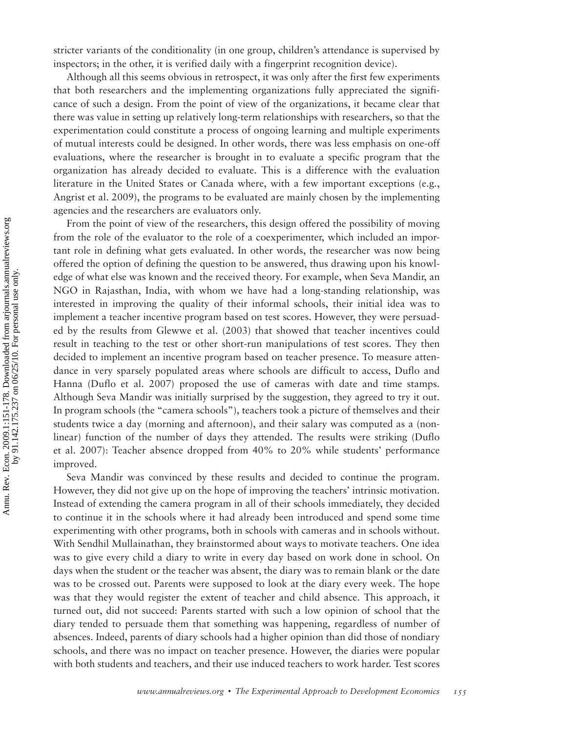stricter variants of the conditionality (in one group, children's attendance is supervised by inspectors; in the other, it is verified daily with a fingerprint recognition device).

Although all this seems obvious in retrospect, it was only after the first few experiments that both researchers and the implementing organizations fully appreciated the significance of such a design. From the point of view of the organizations, it became clear that there was value in setting up relatively long-term relationships with researchers, so that the experimentation could constitute a process of ongoing learning and multiple experiments of mutual interests could be designed. In other words, there was less emphasis on one-off evaluations, where the researcher is brought in to evaluate a specific program that the organization has already decided to evaluate. This is a difference with the evaluation literature in the United States or Canada where, with a few important exceptions (e.g., Angrist et al. 2009), the programs to be evaluated are mainly chosen by the implementing agencies and the researchers are evaluators only.

From the point of view of the researchers, this design offered the possibility of moving from the role of the evaluator to the role of a coexperimenter, which included an important role in defining what gets evaluated. In other words, the researcher was now being offered the option of defining the question to be answered, thus drawing upon his knowledge of what else was known and the received theory. For example, when Seva Mandir, an NGO in Rajasthan, India, with whom we have had a long-standing relationship, was interested in improving the quality of their informal schools, their initial idea was to implement a teacher incentive program based on test scores. However, they were persuaded by the results from Glewwe et al. (2003) that showed that teacher incentives could result in teaching to the test or other short-run manipulations of test scores. They then decided to implement an incentive program based on teacher presence. To measure attendance in very sparsely populated areas where schools are difficult to access, Duflo and Hanna (Duflo et al. 2007) proposed the use of cameras with date and time stamps. Although Seva Mandir was initially surprised by the suggestion, they agreed to try it out. In program schools (the "camera schools"), teachers took a picture of themselves and their students twice a day (morning and afternoon), and their salary was computed as a (nonlinear) function of the number of days they attended. The results were striking (Duflo et al. 2007): Teacher absence dropped from 40% to 20% while students' performance improved.

Seva Mandir was convinced by these results and decided to continue the program. However, they did not give up on the hope of improving the teachers' intrinsic motivation. Instead of extending the camera program in all of their schools immediately, they decided to continue it in the schools where it had already been introduced and spend some time experimenting with other programs, both in schools with cameras and in schools without. With Sendhil Mullainathan, they brainstormed about ways to motivate teachers. One idea was to give every child a diary to write in every day based on work done in school. On days when the student or the teacher was absent, the diary was to remain blank or the date was to be crossed out. Parents were supposed to look at the diary every week. The hope was that they would register the extent of teacher and child absence. This approach, it turned out, did not succeed: Parents started with such a low opinion of school that the diary tended to persuade them that something was happening, regardless of number of absences. Indeed, parents of diary schools had a higher opinion than did those of nondiary schools, and there was no impact on teacher presence. However, the diaries were popular with both students and teachers, and their use induced teachers to work harder. Test scores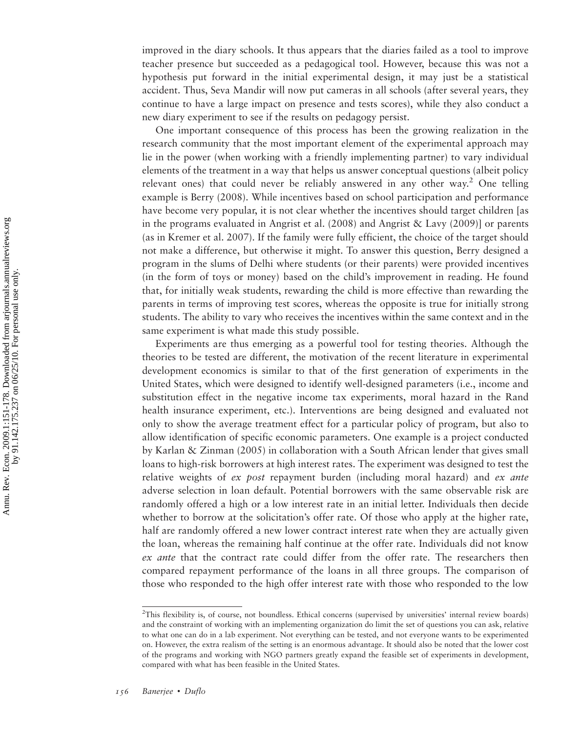improved in the diary schools. It thus appears that the diaries failed as a tool to improve teacher presence but succeeded as a pedagogical tool. However, because this was not a hypothesis put forward in the initial experimental design, it may just be a statistical accident. Thus, Seva Mandir will now put cameras in all schools (after several years, they continue to have a large impact on presence and tests scores), while they also conduct a new diary experiment to see if the results on pedagogy persist.

One important consequence of this process has been the growing realization in the research community that the most important element of the experimental approach may lie in the power (when working with a friendly implementing partner) to vary individual elements of the treatment in a way that helps us answer conceptual questions (albeit policy relevant ones) that could never be reliably answered in any other way.2 One telling example is Berry (2008). While incentives based on school participation and performance have become very popular, it is not clear whether the incentives should target children [as in the programs evaluated in Angrist et al. (2008) and Angrist & Lavy (2009)] or parents (as in Kremer et al. 2007). If the family were fully efficient, the choice of the target should not make a difference, but otherwise it might. To answer this question, Berry designed a program in the slums of Delhi where students (or their parents) were provided incentives (in the form of toys or money) based on the child's improvement in reading. He found that, for initially weak students, rewarding the child is more effective than rewarding the parents in terms of improving test scores, whereas the opposite is true for initially strong students. The ability to vary who receives the incentives within the same context and in the same experiment is what made this study possible.

Experiments are thus emerging as a powerful tool for testing theories. Although the theories to be tested are different, the motivation of the recent literature in experimental development economics is similar to that of the first generation of experiments in the United States, which were designed to identify well-designed parameters (i.e., income and substitution effect in the negative income tax experiments, moral hazard in the Rand health insurance experiment, etc.). Interventions are being designed and evaluated not only to show the average treatment effect for a particular policy of program, but also to allow identification of specific economic parameters. One example is a project conducted by Karlan & Zinman (2005) in collaboration with a South African lender that gives small loans to high-risk borrowers at high interest rates. The experiment was designed to test the relative weights of ex post repayment burden (including moral hazard) and ex ante adverse selection in loan default. Potential borrowers with the same observable risk are randomly offered a high or a low interest rate in an initial letter. Individuals then decide whether to borrow at the solicitation's offer rate. Of those who apply at the higher rate, half are randomly offered a new lower contract interest rate when they are actually given the loan, whereas the remaining half continue at the offer rate. Individuals did not know ex ante that the contract rate could differ from the offer rate. The researchers then compared repayment performance of the loans in all three groups. The comparison of those who responded to the high offer interest rate with those who responded to the low

<sup>2</sup> This flexibility is, of course, not boundless. Ethical concerns (supervised by universities' internal review boards) and the constraint of working with an implementing organization do limit the set of questions you can ask, relative to what one can do in a lab experiment. Not everything can be tested, and not everyone wants to be experimented on. However, the extra realism of the setting is an enormous advantage. It should also be noted that the lower cost of the programs and working with NGO partners greatly expand the feasible set of experiments in development, compared with what has been feasible in the United States.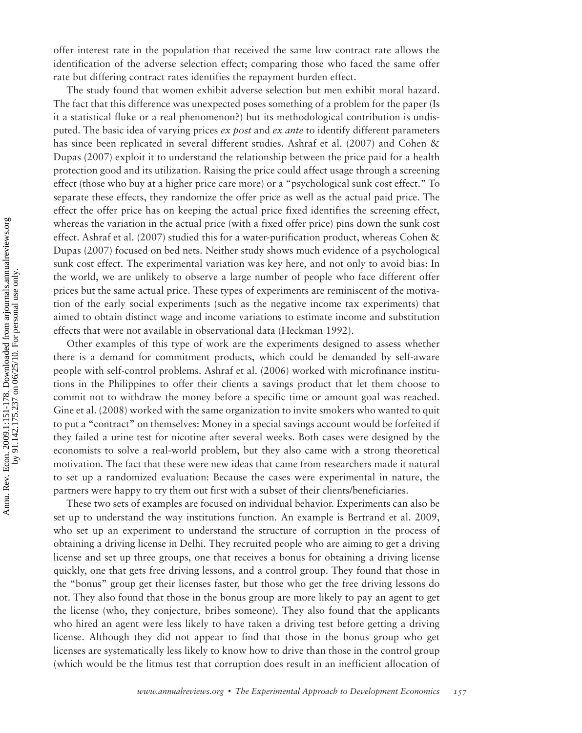offer interest rate in the population that received the same low contract rate allows the identification of the adverse selection effect; comparing those who faced the same offer rate but differing contract rates identifies the repayment burden effect.

The study found that women exhibit adverse selection but men exhibit moral hazard. The fact that this difference was unexpected poses something of a problem for the paper (Is it a statistical fluke or a real phenomenon?) but its methodological contribution is undisputed. The basic idea of varying prices ex post and ex ante to identify different parameters has since been replicated in several different studies. Ashraf et al. (2007) and Cohen & Dupas (2007) exploit it to understand the relationship between the price paid for a health protection good and its utilization. Raising the price could affect usage through a screening effect (those who buy at a higher price care more) or a "psychological sunk cost effect." To separate these effects, they randomize the offer price as well as the actual paid price. The effect the offer price has on keeping the actual price fixed identifies the screening effect, whereas the variation in the actual price (with a fixed offer price) pins down the sunk cost effect. Ashraf et al. (2007) studied this for a water-purification product, whereas Cohen & Dupas (2007) focused on bed nets. Neither study shows much evidence of a psychological sunk cost effect. The experimental variation was key here, and not only to avoid bias: In the world, we are unlikely to observe a large number of people who face different offer prices but the same actual price. These types of experiments are reminiscent of the motivation of the early social experiments (such as the negative income tax experiments) that aimed to obtain distinct wage and income variations to estimate income and substitution effects that were not available in observational data (Heckman 1992).

Other examples of this type of work are the experiments designed to assess whether there is a demand for commitment products, which could be demanded by self-aware people with self-control problems. Ashraf et al. (2006) worked with microfinance institutions in the Philippines to offer their clients a savings product that let them choose to commit not to withdraw the money before a specific time or amount goal was reached. Gine et al. (2008) worked with the same organization to invite smokers who wanted to quit to put a "contract" on themselves: Money in a special savings account would be forfeited if they failed a urine test for nicotine after several weeks. Both cases were designed by the economists to solve a real-world problem, but they also came with a strong theoretical motivation. The fact that these were new ideas that came from researchers made it natural to set up a randomized evaluation: Because the cases were experimental in nature, the partners were happy to try them out first with a subset of their clients/beneficiaries.

These two sets of examples are focused on individual behavior. Experiments can also be set up to understand the way institutions function. An example is Bertrand et al. 2009, who set up an experiment to understand the structure of corruption in the process of obtaining a driving license in Delhi. They recruited people who are aiming to get a driving license and set up three groups, one that receives a bonus for obtaining a driving license quickly, one that gets free driving lessons, and a control group. They found that those in the "bonus" group get their licenses faster, but those who get the free driving lessons do not. They also found that those in the bonus group are more likely to pay an agent to get the license (who, they conjecture, bribes someone). They also found that the applicants who hired an agent were less likely to have taken a driving test before getting a driving license. Although they did not appear to find that those in the bonus group who get licenses are systematically less likely to know how to drive than those in the control group (which would be the litmus test that corruption does result in an inefficient allocation of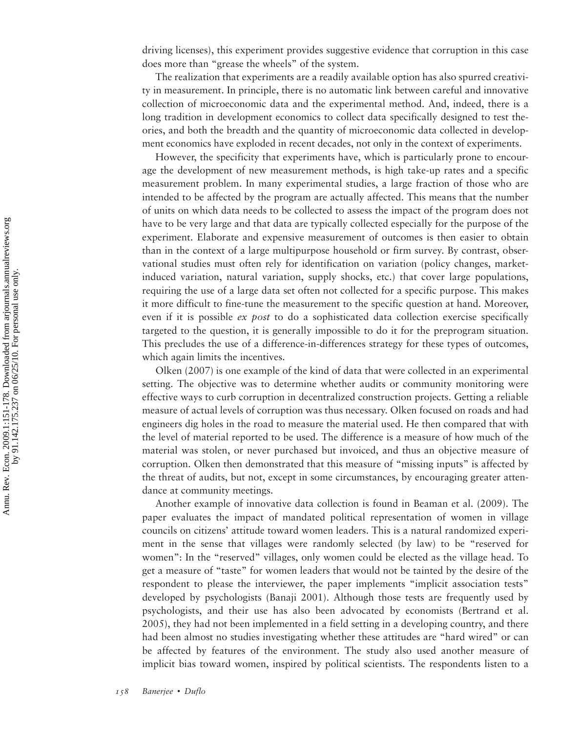driving licenses), this experiment provides suggestive evidence that corruption in this case does more than "grease the wheels" of the system.

The realization that experiments are a readily available option has also spurred creativity in measurement. In principle, there is no automatic link between careful and innovative collection of microeconomic data and the experimental method. And, indeed, there is a long tradition in development economics to collect data specifically designed to test theories, and both the breadth and the quantity of microeconomic data collected in development economics have exploded in recent decades, not only in the context of experiments.

However, the specificity that experiments have, which is particularly prone to encourage the development of new measurement methods, is high take-up rates and a specific measurement problem. In many experimental studies, a large fraction of those who are intended to be affected by the program are actually affected. This means that the number of units on which data needs to be collected to assess the impact of the program does not have to be very large and that data are typically collected especially for the purpose of the experiment. Elaborate and expensive measurement of outcomes is then easier to obtain than in the context of a large multipurpose household or firm survey. By contrast, observational studies must often rely for identification on variation (policy changes, marketinduced variation, natural variation, supply shocks, etc.) that cover large populations, requiring the use of a large data set often not collected for a specific purpose. This makes it more difficult to fine-tune the measurement to the specific question at hand. Moreover, even if it is possible ex post to do a sophisticated data collection exercise specifically targeted to the question, it is generally impossible to do it for the preprogram situation. This precludes the use of a difference-in-differences strategy for these types of outcomes, which again limits the incentives.

Olken (2007) is one example of the kind of data that were collected in an experimental setting. The objective was to determine whether audits or community monitoring were effective ways to curb corruption in decentralized construction projects. Getting a reliable measure of actual levels of corruption was thus necessary. Olken focused on roads and had engineers dig holes in the road to measure the material used. He then compared that with the level of material reported to be used. The difference is a measure of how much of the material was stolen, or never purchased but invoiced, and thus an objective measure of corruption. Olken then demonstrated that this measure of "missing inputs" is affected by the threat of audits, but not, except in some circumstances, by encouraging greater attendance at community meetings.

Another example of innovative data collection is found in Beaman et al. (2009). The paper evaluates the impact of mandated political representation of women in village councils on citizens' attitude toward women leaders. This is a natural randomized experiment in the sense that villages were randomly selected (by law) to be "reserved for women": In the "reserved" villages, only women could be elected as the village head. To get a measure of "taste" for women leaders that would not be tainted by the desire of the respondent to please the interviewer, the paper implements "implicit association tests" developed by psychologists (Banaji 2001). Although those tests are frequently used by psychologists, and their use has also been advocated by economists (Bertrand et al. 2005), they had not been implemented in a field setting in a developing country, and there had been almost no studies investigating whether these attitudes are "hard wired" or can be affected by features of the environment. The study also used another measure of implicit bias toward women, inspired by political scientists. The respondents listen to a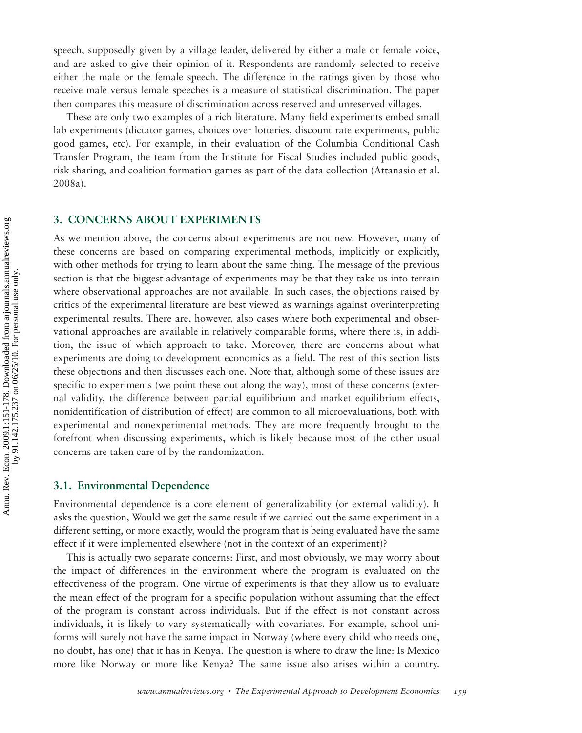speech, supposedly given by a village leader, delivered by either a male or female voice, and are asked to give their opinion of it. Respondents are randomly selected to receive either the male or the female speech. The difference in the ratings given by those who receive male versus female speeches is a measure of statistical discrimination. The paper then compares this measure of discrimination across reserved and unreserved villages.

These are only two examples of a rich literature. Many field experiments embed small lab experiments (dictator games, choices over lotteries, discount rate experiments, public good games, etc). For example, in their evaluation of the Columbia Conditional Cash Transfer Program, the team from the Institute for Fiscal Studies included public goods, risk sharing, and coalition formation games as part of the data collection (Attanasio et al. 2008a).

#### 3. CONCERNS ABOUT EXPERIMENTS

As we mention above, the concerns about experiments are not new. However, many of these concerns are based on comparing experimental methods, implicitly or explicitly, with other methods for trying to learn about the same thing. The message of the previous section is that the biggest advantage of experiments may be that they take us into terrain where observational approaches are not available. In such cases, the objections raised by critics of the experimental literature are best viewed as warnings against overinterpreting experimental results. There are, however, also cases where both experimental and observational approaches are available in relatively comparable forms, where there is, in addition, the issue of which approach to take. Moreover, there are concerns about what experiments are doing to development economics as a field. The rest of this section lists these objections and then discusses each one. Note that, although some of these issues are specific to experiments (we point these out along the way), most of these concerns (external validity, the difference between partial equilibrium and market equilibrium effects, nonidentification of distribution of effect) are common to all microevaluations, both with experimental and nonexperimental methods. They are more frequently brought to the forefront when discussing experiments, which is likely because most of the other usual concerns are taken care of by the randomization.

#### 3.1. Environmental Dependence

Environmental dependence is a core element of generalizability (or external validity). It asks the question, Would we get the same result if we carried out the same experiment in a different setting, or more exactly, would the program that is being evaluated have the same effect if it were implemented elsewhere (not in the context of an experiment)?

This is actually two separate concerns: First, and most obviously, we may worry about the impact of differences in the environment where the program is evaluated on the effectiveness of the program. One virtue of experiments is that they allow us to evaluate the mean effect of the program for a specific population without assuming that the effect of the program is constant across individuals. But if the effect is not constant across individuals, it is likely to vary systematically with covariates. For example, school uniforms will surely not have the same impact in Norway (where every child who needs one, no doubt, has one) that it has in Kenya. The question is where to draw the line: Is Mexico more like Norway or more like Kenya? The same issue also arises within a country.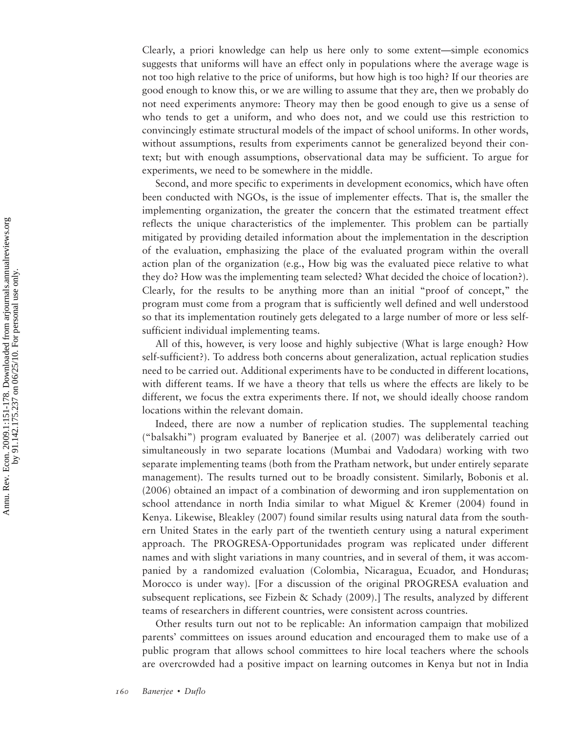Clearly, a priori knowledge can help us here only to some extent—simple economics suggests that uniforms will have an effect only in populations where the average wage is not too high relative to the price of uniforms, but how high is too high? If our theories are good enough to know this, or we are willing to assume that they are, then we probably do not need experiments anymore: Theory may then be good enough to give us a sense of who tends to get a uniform, and who does not, and we could use this restriction to convincingly estimate structural models of the impact of school uniforms. In other words, without assumptions, results from experiments cannot be generalized beyond their context; but with enough assumptions, observational data may be sufficient. To argue for experiments, we need to be somewhere in the middle.

Second, and more specific to experiments in development economics, which have often been conducted with NGOs, is the issue of implementer effects. That is, the smaller the implementing organization, the greater the concern that the estimated treatment effect reflects the unique characteristics of the implementer. This problem can be partially mitigated by providing detailed information about the implementation in the description of the evaluation, emphasizing the place of the evaluated program within the overall action plan of the organization (e.g., How big was the evaluated piece relative to what they do? How was the implementing team selected? What decided the choice of location?). Clearly, for the results to be anything more than an initial "proof of concept," the program must come from a program that is sufficiently well defined and well understood so that its implementation routinely gets delegated to a large number of more or less selfsufficient individual implementing teams.

All of this, however, is very loose and highly subjective (What is large enough? How self-sufficient?). To address both concerns about generalization, actual replication studies need to be carried out. Additional experiments have to be conducted in different locations, with different teams. If we have a theory that tells us where the effects are likely to be different, we focus the extra experiments there. If not, we should ideally choose random locations within the relevant domain.

Indeed, there are now a number of replication studies. The supplemental teaching ("balsakhi") program evaluated by Banerjee et al. (2007) was deliberately carried out simultaneously in two separate locations (Mumbai and Vadodara) working with two separate implementing teams (both from the Pratham network, but under entirely separate management). The results turned out to be broadly consistent. Similarly, Bobonis et al. (2006) obtained an impact of a combination of deworming and iron supplementation on school attendance in north India similar to what Miguel & Kremer (2004) found in Kenya. Likewise, Bleakley (2007) found similar results using natural data from the southern United States in the early part of the twentieth century using a natural experiment approach. The PROGRESA-Opportunidades program was replicated under different names and with slight variations in many countries, and in several of them, it was accompanied by a randomized evaluation (Colombia, Nicaragua, Ecuador, and Honduras; Morocco is under way). [For a discussion of the original PROGRESA evaluation and subsequent replications, see Fizbein & Schady (2009).] The results, analyzed by different teams of researchers in different countries, were consistent across countries.

Other results turn out not to be replicable: An information campaign that mobilized parents' committees on issues around education and encouraged them to make use of a public program that allows school committees to hire local teachers where the schools are overcrowded had a positive impact on learning outcomes in Kenya but not in India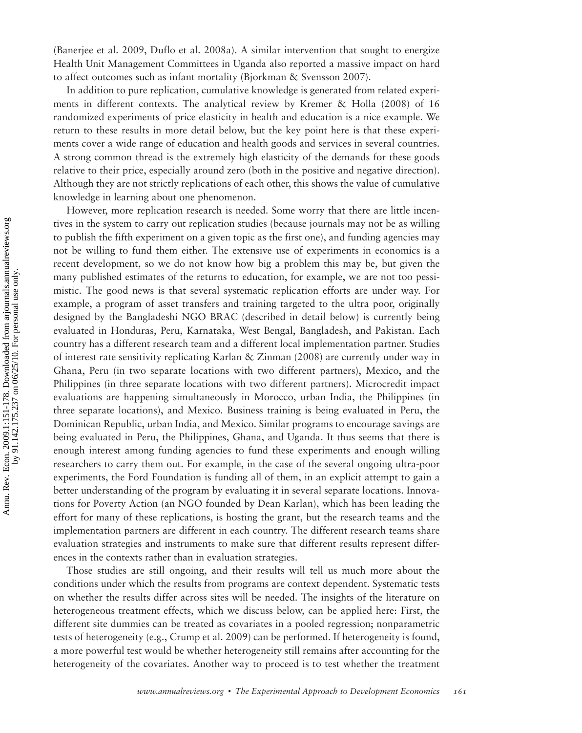(Banerjee et al. 2009, Duflo et al. 2008a). A similar intervention that sought to energize Health Unit Management Committees in Uganda also reported a massive impact on hard to affect outcomes such as infant mortality (Bjorkman & Svensson 2007).

In addition to pure replication, cumulative knowledge is generated from related experiments in different contexts. The analytical review by Kremer & Holla (2008) of 16 randomized experiments of price elasticity in health and education is a nice example. We return to these results in more detail below, but the key point here is that these experiments cover a wide range of education and health goods and services in several countries. A strong common thread is the extremely high elasticity of the demands for these goods relative to their price, especially around zero (both in the positive and negative direction). Although they are not strictly replications of each other, this shows the value of cumulative knowledge in learning about one phenomenon.

However, more replication research is needed. Some worry that there are little incentives in the system to carry out replication studies (because journals may not be as willing to publish the fifth experiment on a given topic as the first one), and funding agencies may not be willing to fund them either. The extensive use of experiments in economics is a recent development, so we do not know how big a problem this may be, but given the many published estimates of the returns to education, for example, we are not too pessimistic. The good news is that several systematic replication efforts are under way. For example, a program of asset transfers and training targeted to the ultra poor, originally designed by the Bangladeshi NGO BRAC (described in detail below) is currently being evaluated in Honduras, Peru, Karnataka, West Bengal, Bangladesh, and Pakistan. Each country has a different research team and a different local implementation partner. Studies of interest rate sensitivity replicating Karlan & Zinman (2008) are currently under way in Ghana, Peru (in two separate locations with two different partners), Mexico, and the Philippines (in three separate locations with two different partners). Microcredit impact evaluations are happening simultaneously in Morocco, urban India, the Philippines (in three separate locations), and Mexico. Business training is being evaluated in Peru, the Dominican Republic, urban India, and Mexico. Similar programs to encourage savings are being evaluated in Peru, the Philippines, Ghana, and Uganda. It thus seems that there is enough interest among funding agencies to fund these experiments and enough willing researchers to carry them out. For example, in the case of the several ongoing ultra-poor experiments, the Ford Foundation is funding all of them, in an explicit attempt to gain a better understanding of the program by evaluating it in several separate locations. Innovations for Poverty Action (an NGO founded by Dean Karlan), which has been leading the effort for many of these replications, is hosting the grant, but the research teams and the implementation partners are different in each country. The different research teams share evaluation strategies and instruments to make sure that different results represent differences in the contexts rather than in evaluation strategies.

Those studies are still ongoing, and their results will tell us much more about the conditions under which the results from programs are context dependent. Systematic tests on whether the results differ across sites will be needed. The insights of the literature on heterogeneous treatment effects, which we discuss below, can be applied here: First, the different site dummies can be treated as covariates in a pooled regression; nonparametric tests of heterogeneity (e.g., Crump et al. 2009) can be performed. If heterogeneity is found, a more powerful test would be whether heterogeneity still remains after accounting for the heterogeneity of the covariates. Another way to proceed is to test whether the treatment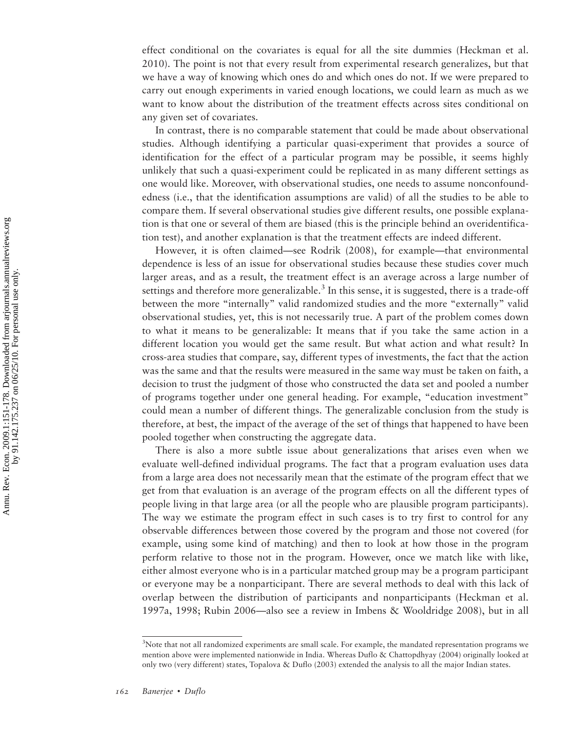effect conditional on the covariates is equal for all the site dummies (Heckman et al. 2010). The point is not that every result from experimental research generalizes, but that we have a way of knowing which ones do and which ones do not. If we were prepared to carry out enough experiments in varied enough locations, we could learn as much as we want to know about the distribution of the treatment effects across sites conditional on any given set of covariates.

In contrast, there is no comparable statement that could be made about observational studies. Although identifying a particular quasi-experiment that provides a source of identification for the effect of a particular program may be possible, it seems highly unlikely that such a quasi-experiment could be replicated in as many different settings as one would like. Moreover, with observational studies, one needs to assume nonconfoundedness (i.e., that the identification assumptions are valid) of all the studies to be able to compare them. If several observational studies give different results, one possible explanation is that one or several of them are biased (this is the principle behind an overidentification test), and another explanation is that the treatment effects are indeed different.

However, it is often claimed—see Rodrik (2008), for example—that environmental dependence is less of an issue for observational studies because these studies cover much larger areas, and as a result, the treatment effect is an average across a large number of settings and therefore more generalizable.<sup>3</sup> In this sense, it is suggested, there is a trade-off between the more "internally" valid randomized studies and the more "externally" valid observational studies, yet, this is not necessarily true. A part of the problem comes down to what it means to be generalizable: It means that if you take the same action in a different location you would get the same result. But what action and what result? In cross-area studies that compare, say, different types of investments, the fact that the action was the same and that the results were measured in the same way must be taken on faith, a decision to trust the judgment of those who constructed the data set and pooled a number of programs together under one general heading. For example, "education investment" could mean a number of different things. The generalizable conclusion from the study is therefore, at best, the impact of the average of the set of things that happened to have been pooled together when constructing the aggregate data.

There is also a more subtle issue about generalizations that arises even when we evaluate well-defined individual programs. The fact that a program evaluation uses data from a large area does not necessarily mean that the estimate of the program effect that we get from that evaluation is an average of the program effects on all the different types of people living in that large area (or all the people who are plausible program participants). The way we estimate the program effect in such cases is to try first to control for any observable differences between those covered by the program and those not covered (for example, using some kind of matching) and then to look at how those in the program perform relative to those not in the program. However, once we match like with like, either almost everyone who is in a particular matched group may be a program participant or everyone may be a nonparticipant. There are several methods to deal with this lack of overlap between the distribution of participants and nonparticipants (Heckman et al. 1997a, 1998; Rubin 2006—also see a review in Imbens & Wooldridge 2008), but in all

<sup>&</sup>lt;sup>3</sup>Note that not all randomized experiments are small scale. For example, the mandated representation programs we mention above were implemented nationwide in India. Whereas Duflo & Chattopdhyay (2004) originally looked at only two (very different) states, Topalova & Duflo (2003) extended the analysis to all the major Indian states.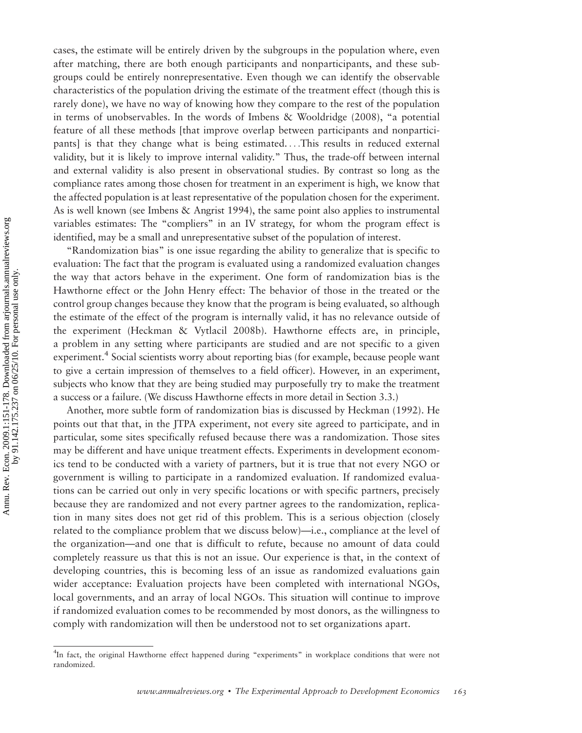cases, the estimate will be entirely driven by the subgroups in the population where, even after matching, there are both enough participants and nonparticipants, and these subgroups could be entirely nonrepresentative. Even though we can identify the observable characteristics of the population driving the estimate of the treatment effect (though this is rarely done), we have no way of knowing how they compare to the rest of the population in terms of unobservables. In the words of Imbens & Wooldridge (2008), "a potential feature of all these methods [that improve overlap between participants and nonparticipants] is that they change what is being estimated. ...This results in reduced external validity, but it is likely to improve internal validity." Thus, the trade-off between internal and external validity is also present in observational studies. By contrast so long as the compliance rates among those chosen for treatment in an experiment is high, we know that the affected population is at least representative of the population chosen for the experiment. As is well known (see Imbens & Angrist 1994), the same point also applies to instrumental variables estimates: The "compliers" in an IV strategy, for whom the program effect is identified, may be a small and unrepresentative subset of the population of interest.

"Randomization bias" is one issue regarding the ability to generalize that is specific to evaluation: The fact that the program is evaluated using a randomized evaluation changes the way that actors behave in the experiment. One form of randomization bias is the Hawthorne effect or the John Henry effect: The behavior of those in the treated or the control group changes because they know that the program is being evaluated, so although the estimate of the effect of the program is internally valid, it has no relevance outside of the experiment (Heckman & Vytlacil 2008b). Hawthorne effects are, in principle, a problem in any setting where participants are studied and are not specific to a given experiment.<sup>4</sup> Social scientists worry about reporting bias (for example, because people want to give a certain impression of themselves to a field officer). However, in an experiment, subjects who know that they are being studied may purposefully try to make the treatment a success or a failure. (We discuss Hawthorne effects in more detail in Section 3.3.)

Another, more subtle form of randomization bias is discussed by Heckman (1992). He points out that that, in the JTPA experiment, not every site agreed to participate, and in particular, some sites specifically refused because there was a randomization. Those sites may be different and have unique treatment effects. Experiments in development economics tend to be conducted with a variety of partners, but it is true that not every NGO or government is willing to participate in a randomized evaluation. If randomized evaluations can be carried out only in very specific locations or with specific partners, precisely because they are randomized and not every partner agrees to the randomization, replication in many sites does not get rid of this problem. This is a serious objection (closely related to the compliance problem that we discuss below)—i.e., compliance at the level of the organization—and one that is difficult to refute, because no amount of data could completely reassure us that this is not an issue. Our experience is that, in the context of developing countries, this is becoming less of an issue as randomized evaluations gain wider acceptance: Evaluation projects have been completed with international NGOs, local governments, and an array of local NGOs. This situation will continue to improve if randomized evaluation comes to be recommended by most donors, as the willingness to comply with randomization will then be understood not to set organizations apart.

by 91.142.175.237 on 06/25/10. For personal use only.

<sup>4</sup> In fact, the original Hawthorne effect happened during "experiments" in workplace conditions that were not randomized.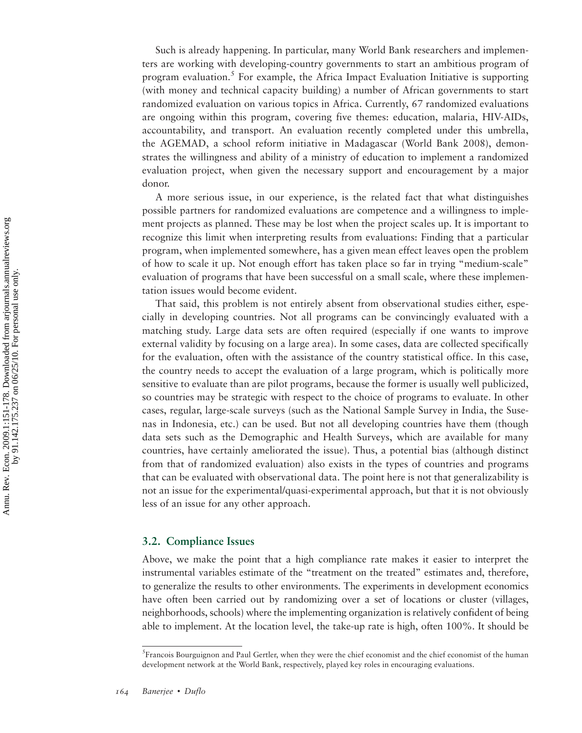Such is already happening. In particular, many World Bank researchers and implementers are working with developing-country governments to start an ambitious program of program evaluation.<sup>5</sup> For example, the Africa Impact Evaluation Initiative is supporting (with money and technical capacity building) a number of African governments to start randomized evaluation on various topics in Africa. Currently, 67 randomized evaluations are ongoing within this program, covering five themes: education, malaria, HIV-AIDs, accountability, and transport. An evaluation recently completed under this umbrella, the AGEMAD, a school reform initiative in Madagascar (World Bank 2008), demonstrates the willingness and ability of a ministry of education to implement a randomized evaluation project, when given the necessary support and encouragement by a major donor.

A more serious issue, in our experience, is the related fact that what distinguishes possible partners for randomized evaluations are competence and a willingness to implement projects as planned. These may be lost when the project scales up. It is important to recognize this limit when interpreting results from evaluations: Finding that a particular program, when implemented somewhere, has a given mean effect leaves open the problem of how to scale it up. Not enough effort has taken place so far in trying "medium-scale" evaluation of programs that have been successful on a small scale, where these implementation issues would become evident.

That said, this problem is not entirely absent from observational studies either, especially in developing countries. Not all programs can be convincingly evaluated with a matching study. Large data sets are often required (especially if one wants to improve external validity by focusing on a large area). In some cases, data are collected specifically for the evaluation, often with the assistance of the country statistical office. In this case, the country needs to accept the evaluation of a large program, which is politically more sensitive to evaluate than are pilot programs, because the former is usually well publicized, so countries may be strategic with respect to the choice of programs to evaluate. In other cases, regular, large-scale surveys (such as the National Sample Survey in India, the Susenas in Indonesia, etc.) can be used. But not all developing countries have them (though data sets such as the Demographic and Health Surveys, which are available for many countries, have certainly ameliorated the issue). Thus, a potential bias (although distinct from that of randomized evaluation) also exists in the types of countries and programs that can be evaluated with observational data. The point here is not that generalizability is not an issue for the experimental/quasi-experimental approach, but that it is not obviously less of an issue for any other approach.

#### 3.2. Compliance Issues

Above, we make the point that a high compliance rate makes it easier to interpret the instrumental variables estimate of the "treatment on the treated" estimates and, therefore, to generalize the results to other environments. The experiments in development economics have often been carried out by randomizing over a set of locations or cluster (villages, neighborhoods, schools) where the implementing organization is relatively confident of being able to implement. At the location level, the take-up rate is high, often 100%. It should be

<sup>5</sup> Francois Bourguignon and Paul Gertler, when they were the chief economist and the chief economist of the human development network at the World Bank, respectively, played key roles in encouraging evaluations.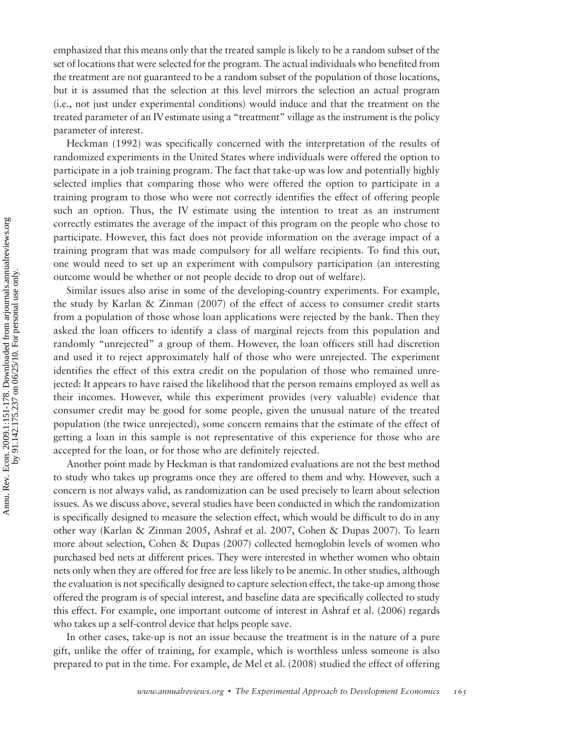emphasized that this means only that the treated sample is likely to be a random subset of the set of locations that were selected for the program. The actual individuals who benefited from the treatment are not guaranteed to be a random subset of the population of those locations, but it is assumed that the selection at this level mirrors the selection an actual program (i.e., not just under experimental conditions) would induce and that the treatment on the treated parameter of an IV estimate using a "treatment" village as the instrument is the policy parameter of interest.

Heckman (1992) was specifically concerned with the interpretation of the results of randomized experiments in the United States where individuals were offered the option to participate in a job training program. The fact that take-up was low and potentially highly selected implies that comparing those who were offered the option to participate in a training program to those who were not correctly identifies the effect of offering people such an option. Thus, the IV estimate using the intention to treat as an instrument correctly estimates the average of the impact of this program on the people who chose to participate. However, this fact does not provide information on the average impact of a training program that was made compulsory for all welfare recipients. To find this out, one would need to set up an experiment with compulsory participation (an interesting outcome would be whether or not people decide to drop out of welfare).

Similar issues also arise in some of the developing-country experiments. For example, the study by Karlan & Zinman (2007) of the effect of access to consumer credit starts from a population of those whose loan applications were rejected by the bank. Then they asked the loan officers to identify a class of marginal rejects from this population and randomly "unrejected" a group of them. However, the loan officers still had discretion and used it to reject approximately half of those who were unrejected. The experiment identifies the effect of this extra credit on the population of those who remained unrejected: It appears to have raised the likelihood that the person remains employed as well as their incomes. However, while this experiment provides (very valuable) evidence that consumer credit may be good for some people, given the unusual nature of the treated population (the twice unrejected), some concern remains that the estimate of the effect of getting a loan in this sample is not representative of this experience for those who are accepted for the loan, or for those who are definitely rejected.

Another point made by Heckman is that randomized evaluations are not the best method to study who takes up programs once they are offered to them and why. However, such a concern is not always valid, as randomization can be used precisely to learn about selection issues. As we discuss above, several studies have been conducted in which the randomization is specifically designed to measure the selection effect, which would be difficult to do in any other way (Karlan & Zinman 2005, Ashraf et al. 2007, Cohen & Dupas 2007). To learn more about selection, Cohen & Dupas (2007) collected hemoglobin levels of women who purchased bed nets at different prices. They were interested in whether women who obtain nets only when they are offered for free are less likely to be anemic. In other studies, although the evaluation is not specifically designed to capture selection effect, the take-up among those offered the program is of special interest, and baseline data are specifically collected to study this effect. For example, one important outcome of interest in Ashraf et al. (2006) regards who takes up a self-control device that helps people save.

In other cases, take-up is not an issue because the treatment is in the nature of a pure gift, unlike the offer of training, for example, which is worthless unless someone is also prepared to put in the time. For example, de Mel et al. (2008) studied the effect of offering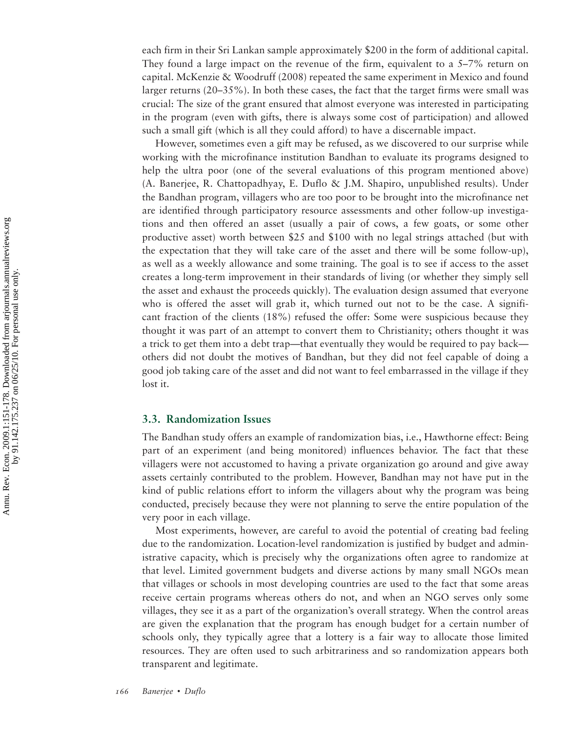each firm in their Sri Lankan sample approximately \$200 in the form of additional capital. They found a large impact on the revenue of the firm, equivalent to a  $5-7\%$  return on capital. McKenzie & Woodruff (2008) repeated the same experiment in Mexico and found larger returns (20–35%). In both these cases, the fact that the target firms were small was crucial: The size of the grant ensured that almost everyone was interested in participating in the program (even with gifts, there is always some cost of participation) and allowed such a small gift (which is all they could afford) to have a discernable impact.

However, sometimes even a gift may be refused, as we discovered to our surprise while working with the microfinance institution Bandhan to evaluate its programs designed to help the ultra poor (one of the several evaluations of this program mentioned above) (A. Banerjee, R. Chattopadhyay, E. Duflo & J.M. Shapiro, unpublished results). Under the Bandhan program, villagers who are too poor to be brought into the microfinance net are identified through participatory resource assessments and other follow-up investigations and then offered an asset (usually a pair of cows, a few goats, or some other productive asset) worth between \$25 and \$100 with no legal strings attached (but with the expectation that they will take care of the asset and there will be some follow-up), as well as a weekly allowance and some training. The goal is to see if access to the asset creates a long-term improvement in their standards of living (or whether they simply sell the asset and exhaust the proceeds quickly). The evaluation design assumed that everyone who is offered the asset will grab it, which turned out not to be the case. A significant fraction of the clients (18%) refused the offer: Some were suspicious because they thought it was part of an attempt to convert them to Christianity; others thought it was a trick to get them into a debt trap—that eventually they would be required to pay back others did not doubt the motives of Bandhan, but they did not feel capable of doing a good job taking care of the asset and did not want to feel embarrassed in the village if they lost it.

#### 3.3. Randomization Issues

The Bandhan study offers an example of randomization bias, i.e., Hawthorne effect: Being part of an experiment (and being monitored) influences behavior. The fact that these villagers were not accustomed to having a private organization go around and give away assets certainly contributed to the problem. However, Bandhan may not have put in the kind of public relations effort to inform the villagers about why the program was being conducted, precisely because they were not planning to serve the entire population of the very poor in each village.

Most experiments, however, are careful to avoid the potential of creating bad feeling due to the randomization. Location-level randomization is justified by budget and administrative capacity, which is precisely why the organizations often agree to randomize at that level. Limited government budgets and diverse actions by many small NGOs mean that villages or schools in most developing countries are used to the fact that some areas receive certain programs whereas others do not, and when an NGO serves only some villages, they see it as a part of the organization's overall strategy. When the control areas are given the explanation that the program has enough budget for a certain number of schools only, they typically agree that a lottery is a fair way to allocate those limited resources. They are often used to such arbitrariness and so randomization appears both transparent and legitimate.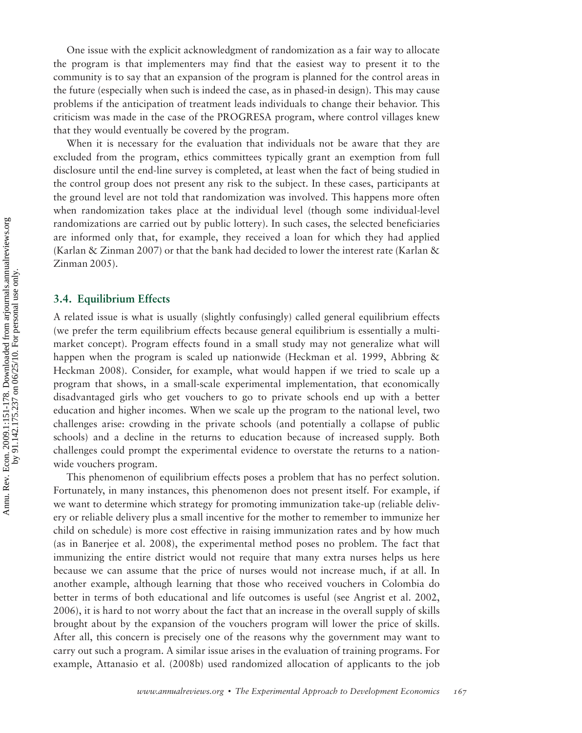One issue with the explicit acknowledgment of randomization as a fair way to allocate the program is that implementers may find that the easiest way to present it to the community is to say that an expansion of the program is planned for the control areas in the future (especially when such is indeed the case, as in phased-in design). This may cause problems if the anticipation of treatment leads individuals to change their behavior. This criticism was made in the case of the PROGRESA program, where control villages knew that they would eventually be covered by the program.

When it is necessary for the evaluation that individuals not be aware that they are excluded from the program, ethics committees typically grant an exemption from full disclosure until the end-line survey is completed, at least when the fact of being studied in the control group does not present any risk to the subject. In these cases, participants at the ground level are not told that randomization was involved. This happens more often when randomization takes place at the individual level (though some individual-level randomizations are carried out by public lottery). In such cases, the selected beneficiaries are informed only that, for example, they received a loan for which they had applied (Karlan & Zinman 2007) or that the bank had decided to lower the interest rate (Karlan & Zinman 2005).

#### 3.4. Equilibrium Effects

A related issue is what is usually (slightly confusingly) called general equilibrium effects (we prefer the term equilibrium effects because general equilibrium is essentially a multimarket concept). Program effects found in a small study may not generalize what will happen when the program is scaled up nationwide (Heckman et al. 1999, Abbring & Heckman 2008). Consider, for example, what would happen if we tried to scale up a program that shows, in a small-scale experimental implementation, that economically disadvantaged girls who get vouchers to go to private schools end up with a better education and higher incomes. When we scale up the program to the national level, two challenges arise: crowding in the private schools (and potentially a collapse of public schools) and a decline in the returns to education because of increased supply. Both challenges could prompt the experimental evidence to overstate the returns to a nationwide vouchers program.

This phenomenon of equilibrium effects poses a problem that has no perfect solution. Fortunately, in many instances, this phenomenon does not present itself. For example, if we want to determine which strategy for promoting immunization take-up (reliable delivery or reliable delivery plus a small incentive for the mother to remember to immunize her child on schedule) is more cost effective in raising immunization rates and by how much (as in Banerjee et al. 2008), the experimental method poses no problem. The fact that immunizing the entire district would not require that many extra nurses helps us here because we can assume that the price of nurses would not increase much, if at all. In another example, although learning that those who received vouchers in Colombia do better in terms of both educational and life outcomes is useful (see Angrist et al. 2002, 2006), it is hard to not worry about the fact that an increase in the overall supply of skills brought about by the expansion of the vouchers program will lower the price of skills. After all, this concern is precisely one of the reasons why the government may want to carry out such a program. A similar issue arises in the evaluation of training programs. For example, Attanasio et al. (2008b) used randomized allocation of applicants to the job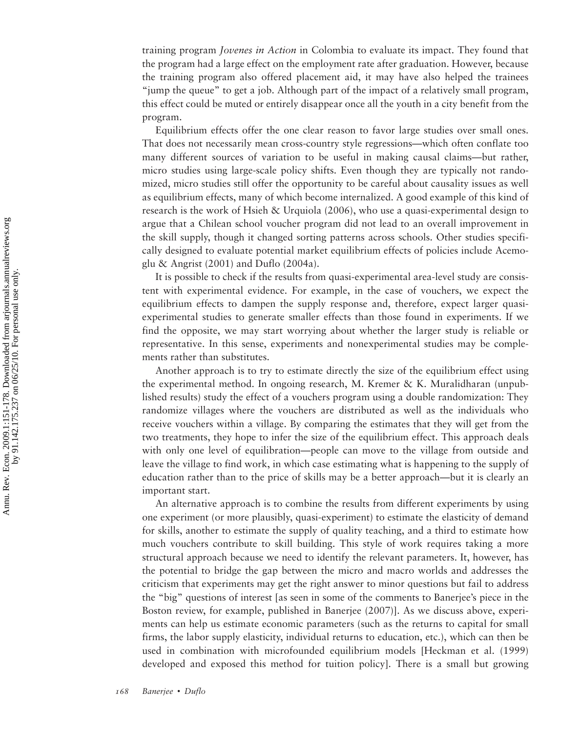training program Jovenes in Action in Colombia to evaluate its impact. They found that the program had a large effect on the employment rate after graduation. However, because the training program also offered placement aid, it may have also helped the trainees "jump the queue" to get a job. Although part of the impact of a relatively small program, this effect could be muted or entirely disappear once all the youth in a city benefit from the program.

Equilibrium effects offer the one clear reason to favor large studies over small ones. That does not necessarily mean cross-country style regressions—which often conflate too many different sources of variation to be useful in making causal claims—but rather, micro studies using large-scale policy shifts. Even though they are typically not randomized, micro studies still offer the opportunity to be careful about causality issues as well as equilibrium effects, many of which become internalized. A good example of this kind of research is the work of Hsieh & Urquiola (2006), who use a quasi-experimental design to argue that a Chilean school voucher program did not lead to an overall improvement in the skill supply, though it changed sorting patterns across schools. Other studies specifically designed to evaluate potential market equilibrium effects of policies include Acemoglu & Angrist (2001) and Duflo (2004a).

It is possible to check if the results from quasi-experimental area-level study are consistent with experimental evidence. For example, in the case of vouchers, we expect the equilibrium effects to dampen the supply response and, therefore, expect larger quasiexperimental studies to generate smaller effects than those found in experiments. If we find the opposite, we may start worrying about whether the larger study is reliable or representative. In this sense, experiments and nonexperimental studies may be complements rather than substitutes.

Another approach is to try to estimate directly the size of the equilibrium effect using the experimental method. In ongoing research, M. Kremer & K. Muralidharan (unpublished results) study the effect of a vouchers program using a double randomization: They randomize villages where the vouchers are distributed as well as the individuals who receive vouchers within a village. By comparing the estimates that they will get from the two treatments, they hope to infer the size of the equilibrium effect. This approach deals with only one level of equilibration—people can move to the village from outside and leave the village to find work, in which case estimating what is happening to the supply of education rather than to the price of skills may be a better approach—but it is clearly an important start.

An alternative approach is to combine the results from different experiments by using one experiment (or more plausibly, quasi-experiment) to estimate the elasticity of demand for skills, another to estimate the supply of quality teaching, and a third to estimate how much vouchers contribute to skill building. This style of work requires taking a more structural approach because we need to identify the relevant parameters. It, however, has the potential to bridge the gap between the micro and macro worlds and addresses the criticism that experiments may get the right answer to minor questions but fail to address the "big" questions of interest [as seen in some of the comments to Banerjee's piece in the Boston review, for example, published in Banerjee (2007)]. As we discuss above, experiments can help us estimate economic parameters (such as the returns to capital for small firms, the labor supply elasticity, individual returns to education, etc.), which can then be used in combination with microfounded equilibrium models [Heckman et al. (1999) developed and exposed this method for tuition policy]. There is a small but growing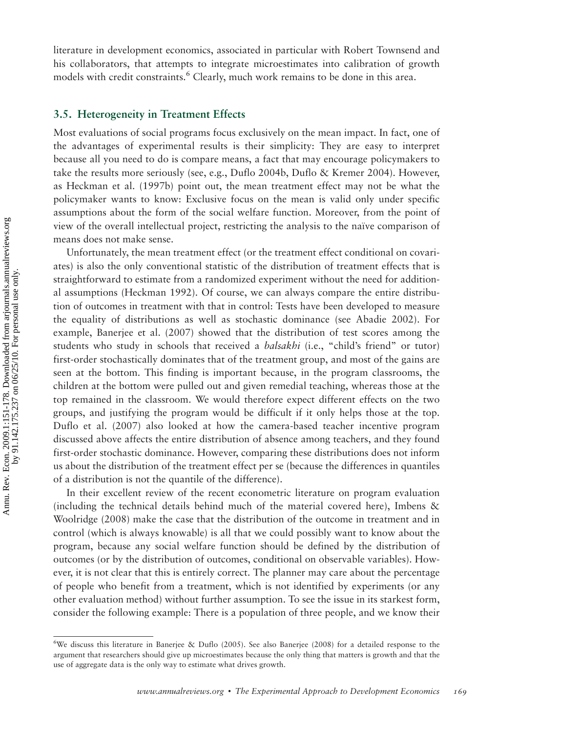literature in development economics, associated in particular with Robert Townsend and his collaborators, that attempts to integrate microestimates into calibration of growth models with credit constraints.<sup>6</sup> Clearly, much work remains to be done in this area.

#### 3.5. Heterogeneity in Treatment Effects

Most evaluations of social programs focus exclusively on the mean impact. In fact, one of the advantages of experimental results is their simplicity: They are easy to interpret because all you need to do is compare means, a fact that may encourage policymakers to take the results more seriously (see, e.g., Duflo 2004b, Duflo & Kremer 2004). However, as Heckman et al. (1997b) point out, the mean treatment effect may not be what the policymaker wants to know: Exclusive focus on the mean is valid only under specific assumptions about the form of the social welfare function. Moreover, from the point of view of the overall intellectual project, restricting the analysis to the naïve comparison of means does not make sense.

Unfortunately, the mean treatment effect (or the treatment effect conditional on covariates) is also the only conventional statistic of the distribution of treatment effects that is straightforward to estimate from a randomized experiment without the need for additional assumptions (Heckman 1992). Of course, we can always compare the entire distribution of outcomes in treatment with that in control: Tests have been developed to measure the equality of distributions as well as stochastic dominance (see Abadie 2002). For example, Banerjee et al. (2007) showed that the distribution of test scores among the students who study in schools that received a *balsakhi* (i.e., "child's friend" or tutor) first-order stochastically dominates that of the treatment group, and most of the gains are seen at the bottom. This finding is important because, in the program classrooms, the children at the bottom were pulled out and given remedial teaching, whereas those at the top remained in the classroom. We would therefore expect different effects on the two groups, and justifying the program would be difficult if it only helps those at the top. Duflo et al. (2007) also looked at how the camera-based teacher incentive program discussed above affects the entire distribution of absence among teachers, and they found first-order stochastic dominance. However, comparing these distributions does not inform us about the distribution of the treatment effect per se (because the differences in quantiles of a distribution is not the quantile of the difference).

In their excellent review of the recent econometric literature on program evaluation (including the technical details behind much of the material covered here), Imbens & Woolridge (2008) make the case that the distribution of the outcome in treatment and in control (which is always knowable) is all that we could possibly want to know about the program, because any social welfare function should be defined by the distribution of outcomes (or by the distribution of outcomes, conditional on observable variables). However, it is not clear that this is entirely correct. The planner may care about the percentage of people who benefit from a treatment, which is not identified by experiments (or any other evaluation method) without further assumption. To see the issue in its starkest form, consider the following example: There is a population of three people, and we know their

<sup>&</sup>lt;sup>6</sup>We discuss this literature in Banerjee & Duflo (2005). See also Banerjee (2008) for a detailed response to the argument that researchers should give up microestimates because the only thing that matters is growth and that the use of aggregate data is the only way to estimate what drives growth.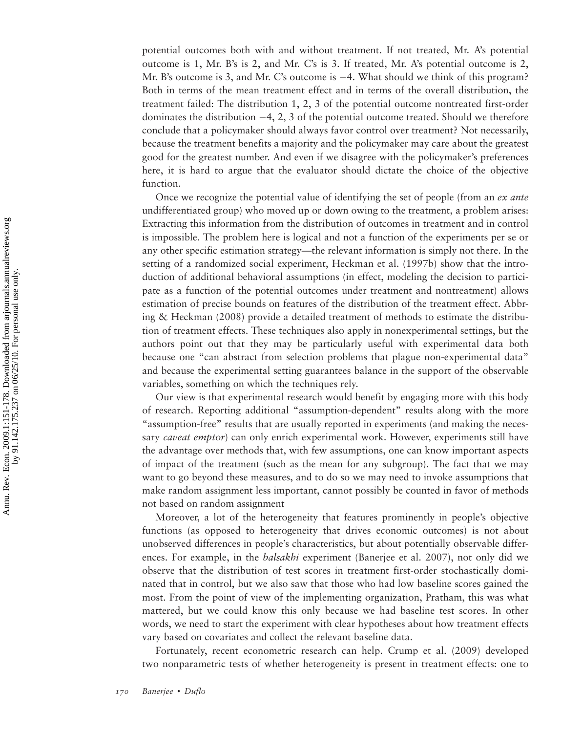potential outcomes both with and without treatment. If not treated, Mr. A's potential outcome is 1, Mr. B's is 2, and Mr. C's is 3. If treated, Mr. A's potential outcome is 2, Mr. B's outcome is 3, and Mr. C's outcome is  $-4$ . What should we think of this program? Both in terms of the mean treatment effect and in terms of the overall distribution, the treatment failed: The distribution 1, 2, 3 of the potential outcome nontreated first-order dominates the distribution  $-4$ , 2, 3 of the potential outcome treated. Should we therefore conclude that a policymaker should always favor control over treatment? Not necessarily, because the treatment benefits a majority and the policymaker may care about the greatest good for the greatest number. And even if we disagree with the policymaker's preferences here, it is hard to argue that the evaluator should dictate the choice of the objective function.

Once we recognize the potential value of identifying the set of people (from an  $ex$  antegrated) undifferentiated group) who moved up or down owing to the treatment, a problem arises: Extracting this information from the distribution of outcomes in treatment and in control is impossible. The problem here is logical and not a function of the experiments per se or any other specific estimation strategy—the relevant information is simply not there. In the setting of a randomized social experiment, Heckman et al. (1997b) show that the introduction of additional behavioral assumptions (in effect, modeling the decision to participate as a function of the potential outcomes under treatment and nontreatment) allows estimation of precise bounds on features of the distribution of the treatment effect. Abbring & Heckman (2008) provide a detailed treatment of methods to estimate the distribution of treatment effects. These techniques also apply in nonexperimental settings, but the authors point out that they may be particularly useful with experimental data both because one "can abstract from selection problems that plague non-experimental data" and because the experimental setting guarantees balance in the support of the observable variables, something on which the techniques rely.

Our view is that experimental research would benefit by engaging more with this body of research. Reporting additional "assumption-dependent" results along with the more "assumption-free" results that are usually reported in experiments (and making the necessary *caveat emptor*) can only enrich experimental work. However, experiments still have the advantage over methods that, with few assumptions, one can know important aspects of impact of the treatment (such as the mean for any subgroup). The fact that we may want to go beyond these measures, and to do so we may need to invoke assumptions that make random assignment less important, cannot possibly be counted in favor of methods not based on random assignment

Moreover, a lot of the heterogeneity that features prominently in people's objective functions (as opposed to heterogeneity that drives economic outcomes) is not about unobserved differences in people's characteristics, but about potentially observable differences. For example, in the balsakhi experiment (Banerjee et al. 2007), not only did we observe that the distribution of test scores in treatment first-order stochastically dominated that in control, but we also saw that those who had low baseline scores gained the most. From the point of view of the implementing organization, Pratham, this was what mattered, but we could know this only because we had baseline test scores. In other words, we need to start the experiment with clear hypotheses about how treatment effects vary based on covariates and collect the relevant baseline data.

Fortunately, recent econometric research can help. Crump et al. (2009) developed two nonparametric tests of whether heterogeneity is present in treatment effects: one to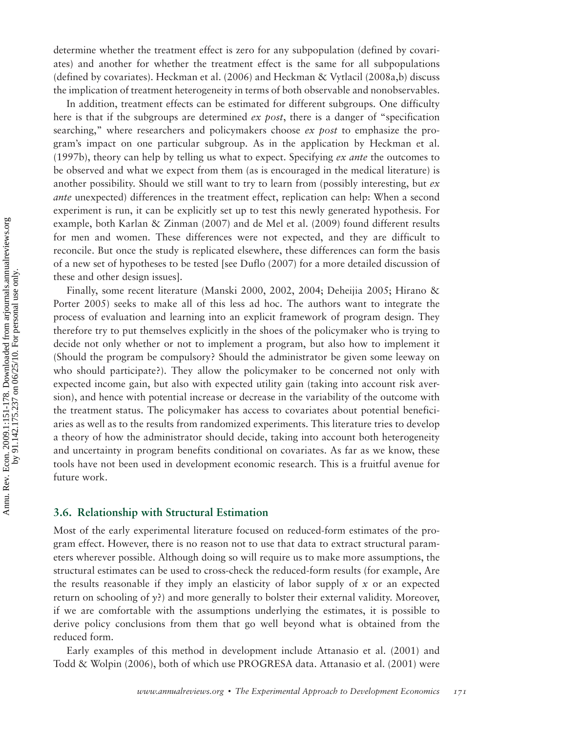determine whether the treatment effect is zero for any subpopulation (defined by covariates) and another for whether the treatment effect is the same for all subpopulations (defined by covariates). Heckman et al. (2006) and Heckman & Vytlacil (2008a,b) discuss the implication of treatment heterogeneity in terms of both observable and nonobservables.

In addition, treatment effects can be estimated for different subgroups. One difficulty here is that if the subgroups are determined *ex post*, there is a danger of "specification" searching," where researchers and policymakers choose *ex post* to emphasize the program's impact on one particular subgroup. As in the application by Heckman et al. (1997b), theory can help by telling us what to expect. Specifying ex ante the outcomes to be observed and what we expect from them (as is encouraged in the medical literature) is another possibility. Should we still want to try to learn from (possibly interesting, but ex ante unexpected) differences in the treatment effect, replication can help: When a second experiment is run, it can be explicitly set up to test this newly generated hypothesis. For example, both Karlan & Zinman (2007) and de Mel et al. (2009) found different results for men and women. These differences were not expected, and they are difficult to reconcile. But once the study is replicated elsewhere, these differences can form the basis of a new set of hypotheses to be tested [see Duflo (2007) for a more detailed discussion of these and other design issues].

Finally, some recent literature (Manski 2000, 2002, 2004; Deheijia 2005; Hirano & Porter 2005) seeks to make all of this less ad hoc. The authors want to integrate the process of evaluation and learning into an explicit framework of program design. They therefore try to put themselves explicitly in the shoes of the policymaker who is trying to decide not only whether or not to implement a program, but also how to implement it (Should the program be compulsory? Should the administrator be given some leeway on who should participate?). They allow the policymaker to be concerned not only with expected income gain, but also with expected utility gain (taking into account risk aversion), and hence with potential increase or decrease in the variability of the outcome with the treatment status. The policymaker has access to covariates about potential beneficiaries as well as to the results from randomized experiments. This literature tries to develop a theory of how the administrator should decide, taking into account both heterogeneity and uncertainty in program benefits conditional on covariates. As far as we know, these tools have not been used in development economic research. This is a fruitful avenue for future work.

#### 3.6. Relationship with Structural Estimation

Most of the early experimental literature focused on reduced-form estimates of the program effect. However, there is no reason not to use that data to extract structural parameters wherever possible. Although doing so will require us to make more assumptions, the structural estimates can be used to cross-check the reduced-form results (for example, Are the results reasonable if they imply an elasticity of labor supply of  $x$  or an expected return on schooling of  $\gamma$ ?) and more generally to bolster their external validity. Moreover, if we are comfortable with the assumptions underlying the estimates, it is possible to derive policy conclusions from them that go well beyond what is obtained from the reduced form.

Early examples of this method in development include Attanasio et al. (2001) and Todd & Wolpin (2006), both of which use PROGRESA data. Attanasio et al. (2001) were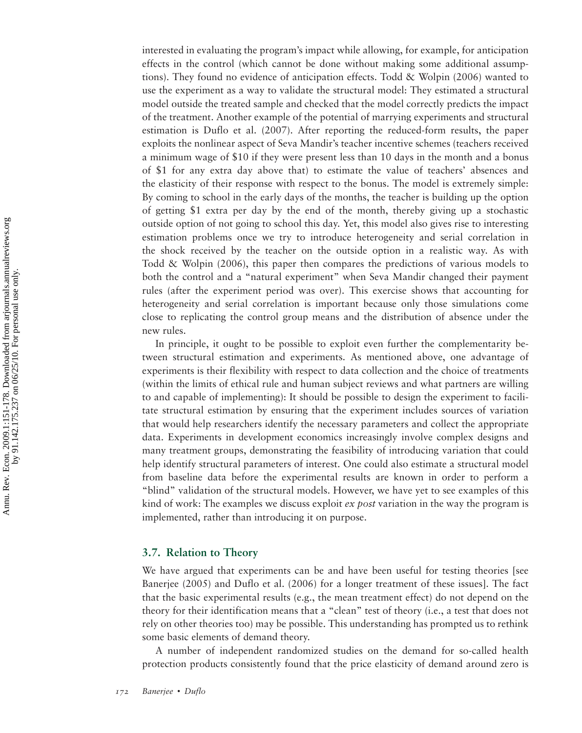interested in evaluating the program's impact while allowing, for example, for anticipation effects in the control (which cannot be done without making some additional assumptions). They found no evidence of anticipation effects. Todd & Wolpin (2006) wanted to use the experiment as a way to validate the structural model: They estimated a structural model outside the treated sample and checked that the model correctly predicts the impact of the treatment. Another example of the potential of marrying experiments and structural estimation is Duflo et al. (2007). After reporting the reduced-form results, the paper exploits the nonlinear aspect of Seva Mandir's teacher incentive schemes (teachers received a minimum wage of \$10 if they were present less than 10 days in the month and a bonus of \$1 for any extra day above that) to estimate the value of teachers' absences and the elasticity of their response with respect to the bonus. The model is extremely simple: By coming to school in the early days of the months, the teacher is building up the option of getting \$1 extra per day by the end of the month, thereby giving up a stochastic outside option of not going to school this day. Yet, this model also gives rise to interesting estimation problems once we try to introduce heterogeneity and serial correlation in the shock received by the teacher on the outside option in a realistic way. As with Todd & Wolpin (2006), this paper then compares the predictions of various models to both the control and a "natural experiment" when Seva Mandir changed their payment rules (after the experiment period was over). This exercise shows that accounting for heterogeneity and serial correlation is important because only those simulations come close to replicating the control group means and the distribution of absence under the new rules.

In principle, it ought to be possible to exploit even further the complementarity between structural estimation and experiments. As mentioned above, one advantage of experiments is their flexibility with respect to data collection and the choice of treatments (within the limits of ethical rule and human subject reviews and what partners are willing to and capable of implementing): It should be possible to design the experiment to facilitate structural estimation by ensuring that the experiment includes sources of variation that would help researchers identify the necessary parameters and collect the appropriate data. Experiments in development economics increasingly involve complex designs and many treatment groups, demonstrating the feasibility of introducing variation that could help identify structural parameters of interest. One could also estimate a structural model from baseline data before the experimental results are known in order to perform a "blind" validation of the structural models. However, we have yet to see examples of this kind of work: The examples we discuss exploit ex post variation in the way the program is implemented, rather than introducing it on purpose.

#### 3.7. Relation to Theory

We have argued that experiments can be and have been useful for testing theories [see Banerjee (2005) and Duflo et al. (2006) for a longer treatment of these issues]. The fact that the basic experimental results (e.g., the mean treatment effect) do not depend on the theory for their identification means that a "clean" test of theory (i.e., a test that does not rely on other theories too) may be possible. This understanding has prompted us to rethink some basic elements of demand theory.

A number of independent randomized studies on the demand for so-called health protection products consistently found that the price elasticity of demand around zero is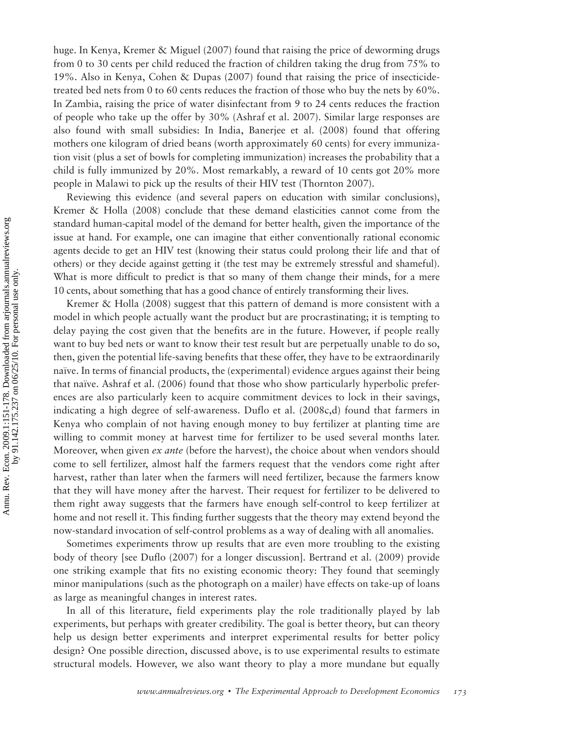huge. In Kenya, Kremer & Miguel (2007) found that raising the price of deworming drugs from 0 to 30 cents per child reduced the fraction of children taking the drug from 75% to 19%. Also in Kenya, Cohen & Dupas (2007) found that raising the price of insecticidetreated bed nets from 0 to 60 cents reduces the fraction of those who buy the nets by 60%. In Zambia, raising the price of water disinfectant from 9 to 24 cents reduces the fraction of people who take up the offer by 30% (Ashraf et al. 2007). Similar large responses are also found with small subsidies: In India, Banerjee et al. (2008) found that offering mothers one kilogram of dried beans (worth approximately 60 cents) for every immunization visit (plus a set of bowls for completing immunization) increases the probability that a child is fully immunized by 20%. Most remarkably, a reward of 10 cents got 20% more people in Malawi to pick up the results of their HIV test (Thornton 2007).

Reviewing this evidence (and several papers on education with similar conclusions), Kremer & Holla (2008) conclude that these demand elasticities cannot come from the standard human-capital model of the demand for better health, given the importance of the issue at hand. For example, one can imagine that either conventionally rational economic agents decide to get an HIV test (knowing their status could prolong their life and that of others) or they decide against getting it (the test may be extremely stressful and shameful). What is more difficult to predict is that so many of them change their minds, for a mere 10 cents, about something that has a good chance of entirely transforming their lives.

Kremer & Holla (2008) suggest that this pattern of demand is more consistent with a model in which people actually want the product but are procrastinating; it is tempting to delay paying the cost given that the benefits are in the future. However, if people really want to buy bed nets or want to know their test result but are perpetually unable to do so, then, given the potential life-saving benefits that these offer, they have to be extraordinarily naïve. In terms of financial products, the (experimental) evidence argues against their being that naïve. Ashraf et al.  $(2006)$  found that those who show particularly hyperbolic preferences are also particularly keen to acquire commitment devices to lock in their savings, indicating a high degree of self-awareness. Duflo et al. (2008c,d) found that farmers in Kenya who complain of not having enough money to buy fertilizer at planting time are willing to commit money at harvest time for fertilizer to be used several months later. Moreover, when given ex ante (before the harvest), the choice about when vendors should come to sell fertilizer, almost half the farmers request that the vendors come right after harvest, rather than later when the farmers will need fertilizer, because the farmers know that they will have money after the harvest. Their request for fertilizer to be delivered to them right away suggests that the farmers have enough self-control to keep fertilizer at home and not resell it. This finding further suggests that the theory may extend beyond the now-standard invocation of self-control problems as a way of dealing with all anomalies.

Sometimes experiments throw up results that are even more troubling to the existing body of theory [see Duflo (2007) for a longer discussion]. Bertrand et al. (2009) provide one striking example that fits no existing economic theory: They found that seemingly minor manipulations (such as the photograph on a mailer) have effects on take-up of loans as large as meaningful changes in interest rates.

In all of this literature, field experiments play the role traditionally played by lab experiments, but perhaps with greater credibility. The goal is better theory, but can theory help us design better experiments and interpret experimental results for better policy design? One possible direction, discussed above, is to use experimental results to estimate structural models. However, we also want theory to play a more mundane but equally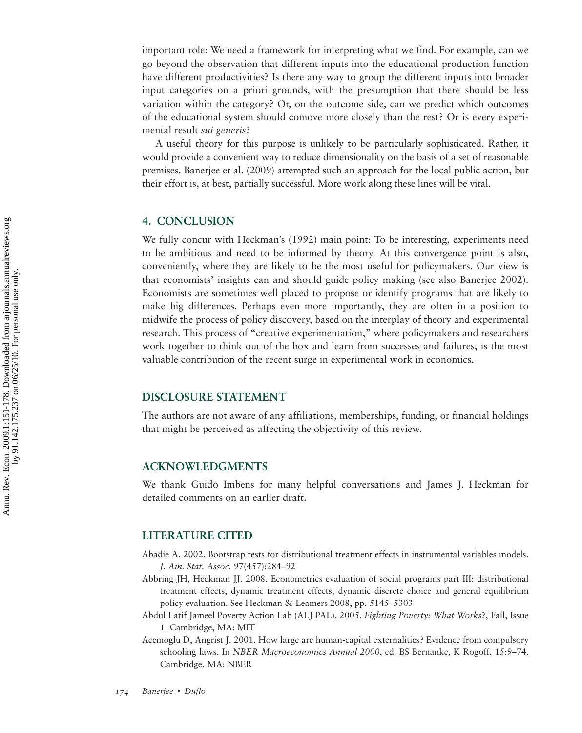important role: We need a framework for interpreting what we find. For example, can we go beyond the observation that different inputs into the educational production function have different productivities? Is there any way to group the different inputs into broader input categories on a priori grounds, with the presumption that there should be less variation within the category? Or, on the outcome side, can we predict which outcomes of the educational system should comove more closely than the rest? Or is every experimental result sui generis?

A useful theory for this purpose is unlikely to be particularly sophisticated. Rather, it would provide a convenient way to reduce dimensionality on the basis of a set of reasonable premises. Banerjee et al. (2009) attempted such an approach for the local public action, but their effort is, at best, partially successful. More work along these lines will be vital.

#### 4. CONCLUSION

We fully concur with Heckman's (1992) main point: To be interesting, experiments need to be ambitious and need to be informed by theory. At this convergence point is also, conveniently, where they are likely to be the most useful for policymakers. Our view is that economists' insights can and should guide policy making (see also Banerjee 2002). Economists are sometimes well placed to propose or identify programs that are likely to make big differences. Perhaps even more importantly, they are often in a position to midwife the process of policy discovery, based on the interplay of theory and experimental research. This process of "creative experimentation," where policymakers and researchers work together to think out of the box and learn from successes and failures, is the most valuable contribution of the recent surge in experimental work in economics.

#### DISCLOSURE STATEMENT

The authors are not aware of any affiliations, memberships, funding, or financial holdings that might be perceived as affecting the objectivity of this review.

#### ACKNOWLEDGMENTS

We thank Guido Imbens for many helpful conversations and James J. Heckman for detailed comments on an earlier draft.

#### LITERATURE CITED

- Abadie A. 2002. Bootstrap tests for distributional treatment effects in instrumental variables models. J. Am. Stat. Assoc. 97(457):284–92
- Abbring JH, Heckman JJ. 2008. Econometrics evaluation of social programs part III: distributional treatment effects, dynamic treatment effects, dynamic discrete choice and general equilibrium policy evaluation. See Heckman & Leamers 2008, pp. 5145–5303
- Abdul Latif Jameel Poverty Action Lab (ALJ-PAL). 2005. Fighting Poverty: What Works?, Fall, Issue 1. Cambridge, MA: MIT
- Acemoglu D, Angrist J. 2001. How large are human-capital externalities? Evidence from compulsory schooling laws. In NBER Macroeconomics Annual 2000, ed. BS Bernanke, K Rogoff, 15:9–74. Cambridge, MA: NBER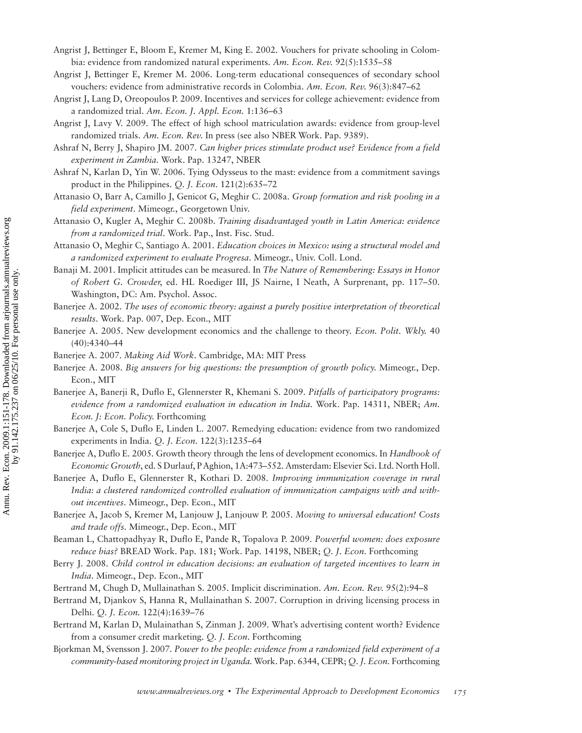- Angrist J, Bettinger E, Bloom E, Kremer M, King E. 2002. Vouchers for private schooling in Colombia: evidence from randomized natural experiments. Am. Econ. Rev. 92(5):1535–58
- Angrist J, Bettinger E, Kremer M. 2006. Long-term educational consequences of secondary school vouchers: evidence from administrative records in Colombia. Am. Econ. Rev. 96(3):847–62
- Angrist J, Lang D, Oreopoulos P. 2009. Incentives and services for college achievement: evidence from a randomized trial. Am. Econ. J. Appl. Econ. 1:136–63
- Angrist J, Lavy V. 2009. The effect of high school matriculation awards: evidence from group-level randomized trials. Am. Econ. Rev. In press (see also NBER Work. Pap. 9389).
- Ashraf N, Berry J, Shapiro JM. 2007. Can higher prices stimulate product use? Evidence from a field experiment in Zambia. Work. Pap. 13247, NBER
- Ashraf N, Karlan D, Yin W. 2006. Tying Odysseus to the mast: evidence from a commitment savings product in the Philippines. Q. J. Econ. 121(2):635–72
- Attanasio O, Barr A, Camillo J, Genicot G, Meghir C. 2008a. Group formation and risk pooling in a field experiment. Mimeogr., Georgetown Univ.
- Attanasio O, Kugler A, Meghir C. 2008b. Training disadvantaged youth in Latin America: evidence from a randomized trial. Work. Pap., Inst. Fisc. Stud.
- Attanasio O, Meghir C, Santiago A. 2001. Education choices in Mexico: using a structural model and a randomized experiment to evaluate Progresa. Mimeogr., Univ. Coll. Lond.
- Banaji M. 2001. Implicit attitudes can be measured. In The Nature of Remembering: Essays in Honor of Robert G. Crowder, ed. HL Roediger III, JS Nairne, I Neath, A Surprenant, pp. 117–50. Washington, DC: Am. Psychol. Assoc.
- Banerjee A. 2002. The uses of economic theory: against a purely positive interpretation of theoretical results. Work. Pap. 007, Dep. Econ., MIT
- Banerjee A. 2005. New development economics and the challenge to theory. Econ. Polit. Wkly. 40 (40):4340–44
- Banerjee A. 2007. Making Aid Work. Cambridge, MA: MIT Press
- Banerjee A. 2008. Big answers for big questions: the presumption of growth policy. Mimeogr., Dep. Econ., MIT
- Banerjee A, Banerji R, Duflo E, Glennerster R, Khemani S. 2009. Pitfalls of participatory programs: evidence from a randomized evaluation in education in India. Work. Pap. 14311, NBER; Am. Econ. J: Econ. Policy. Forthcoming
- Banerjee A, Cole S, Duflo E, Linden L. 2007. Remedying education: evidence from two randomized experiments in India. Q. J. Econ. 122(3):1235–64
- Banerjee A, Duflo E. 2005. Growth theory through the lens of development economics. In Handbook of Economic Growth, ed. S Durlauf, P Aghion, 1A:473–552. Amsterdam: Elsevier Sci. Ltd. North Holl.
- Banerjee A, Duflo E, Glennerster R, Kothari D. 2008. Improving immunization coverage in rural India: a clustered randomized controlled evaluation of immunization campaigns with and without incentives. Mimeogr., Dep. Econ., MIT
- Banerjee A, Jacob S, Kremer M, Lanjouw J, Lanjouw P. 2005. Moving to universal education! Costs and trade offs. Mimeogr., Dep. Econ., MIT
- Beaman L, Chattopadhyay R, Duflo E, Pande R, Topalova P. 2009. Powerful women: does exposure reduce bias? BREAD Work. Pap. 181; Work. Pap. 14198, NBER; Q. J. Econ. Forthcoming
- Berry J. 2008. Child control in education decisions: an evaluation of targeted incentives to learn in India. Mimeogr., Dep. Econ., MIT
- Bertrand M, Chugh D, Mullainathan S. 2005. Implicit discrimination. Am. Econ. Rev. 95(2):94–8
- Bertrand M, Djankov S, Hanna R, Mullainathan S. 2007. Corruption in driving licensing process in Delhi. Q. J. Econ. 122(4):1639–76
- Bertrand M, Karlan D, Mulainathan S, Zinman J. 2009. What's advertising content worth? Evidence from a consumer credit marketing. Q. J. Econ. Forthcoming
- Bjorkman M, Svensson J. 2007. Power to the people: evidence from a randomized field experiment of a community-based monitoring project in Uganda. Work. Pap. 6344, CEPR; O. J. Econ. Forthcoming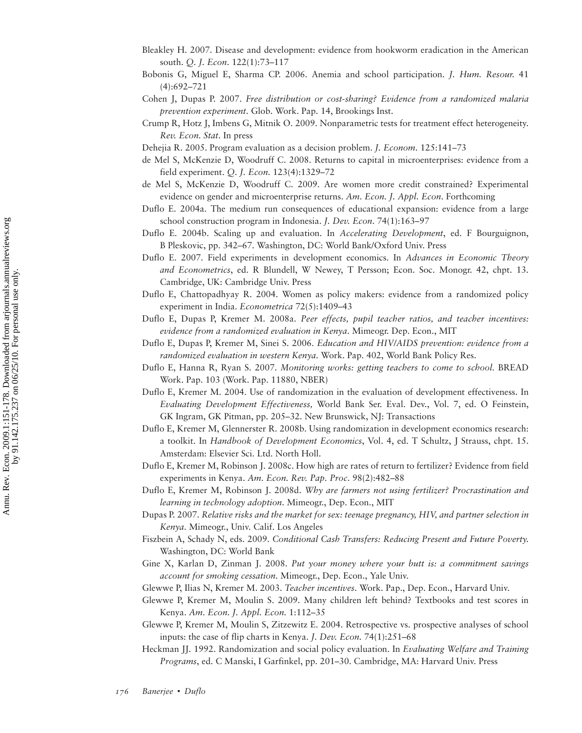- Bleakley H. 2007. Disease and development: evidence from hookworm eradication in the American south. Q. J. Econ. 122(1):73–117
- Bobonis G, Miguel E, Sharma CP. 2006. Anemia and school participation. J. Hum. Resour. 41 (4):692–721
- Cohen J, Dupas P. 2007. Free distribution or cost-sharing? Evidence from a randomized malaria prevention experiment. Glob. Work. Pap. 14, Brookings Inst.
- Crump R, Hotz J, Imbens G, Mitnik O. 2009. Nonparametric tests for treatment effect heterogeneity. Rev. Econ. Stat. In press
- Dehejia R. 2005. Program evaluation as a decision problem. J. Econom. 125:141–73
- de Mel S, McKenzie D, Woodruff C. 2008. Returns to capital in microenterprises: evidence from a field experiment. Q. J. Econ. 123(4):1329–72
- de Mel S, McKenzie D, Woodruff C. 2009. Are women more credit constrained? Experimental evidence on gender and microenterprise returns. Am. Econ. J. Appl. Econ. Forthcoming
- Duflo E. 2004a. The medium run consequences of educational expansion: evidence from a large school construction program in Indonesia. J. Dev. Econ. 74(1):163–97
- Duflo E. 2004b. Scaling up and evaluation. In Accelerating Development, ed. F Bourguignon, B Pleskovic, pp. 342–67. Washington, DC: World Bank/Oxford Univ. Press
- Duflo E. 2007. Field experiments in development economics. In Advances in Economic Theory and Econometrics, ed. R Blundell, W Newey, T Persson; Econ. Soc. Monogr. 42, chpt. 13. Cambridge, UK: Cambridge Univ. Press
- Duflo E, Chattopadhyay R. 2004. Women as policy makers: evidence from a randomized policy experiment in India. Econometrica 72(5):1409–43
- Duflo E, Dupas P, Kremer M. 2008a. Peer effects, pupil teacher ratios, and teacher incentives: evidence from a randomized evaluation in Kenya. Mimeogr. Dep. Econ., MIT
- Duflo E, Dupas P, Kremer M, Sinei S. 2006. Education and HIV/AIDS prevention: evidence from a randomized evaluation in western Kenya. Work. Pap. 402, World Bank Policy Res.
- Duflo E, Hanna R, Ryan S. 2007. Monitoring works: getting teachers to come to school. BREAD Work. Pap. 103 (Work. Pap. 11880, NBER)
- Duflo E, Kremer M. 2004. Use of randomization in the evaluation of development effectiveness. In Evaluating Development Effectiveness, World Bank Ser. Eval. Dev., Vol. 7, ed. O Feinstein, GK Ingram, GK Pitman, pp. 205–32. New Brunswick, NJ: Transactions
- Duflo E, Kremer M, Glennerster R. 2008b. Using randomization in development economics research: a toolkit. In Handbook of Development Economics, Vol. 4, ed. T Schultz, J Strauss, chpt. 15. Amsterdam: Elsevier Sci. Ltd. North Holl.
- Duflo E, Kremer M, Robinson J. 2008c. How high are rates of return to fertilizer? Evidence from field experiments in Kenya. Am. Econ. Rev. Pap. Proc. 98(2):482–88
- Duflo E, Kremer M, Robinson J. 2008d. Why are farmers not using fertilizer? Procrastination and learning in technology adoption. Mimeogr., Dep. Econ., MIT
- Dupas P. 2007. Relative risks and the market for sex: teenage pregnancy, HIV, and partner selection in Kenya. Mimeogr., Univ. Calif. Los Angeles
- Fiszbein A, Schady N, eds. 2009. Conditional Cash Transfers: Reducing Present and Future Poverty. Washington, DC: World Bank
- Gine X, Karlan D, Zinman J. 2008. Put your money where your butt is: a commitment savings account for smoking cessation. Mimeogr., Dep. Econ., Yale Univ.
- Glewwe P, Ilias N, Kremer M. 2003. Teacher incentives. Work. Pap., Dep. Econ., Harvard Univ.
- Glewwe P, Kremer M, Moulin S. 2009. Many children left behind? Textbooks and test scores in Kenya. Am. Econ. J. Appl. Econ. 1:112–35
- Glewwe P, Kremer M, Moulin S, Zitzewitz E. 2004. Retrospective vs. prospective analyses of school inputs: the case of flip charts in Kenya. J. Dev. Econ. 74(1):251–68
- Heckman JJ. 1992. Randomization and social policy evaluation. In Evaluating Welfare and Training Programs, ed. C Manski, I Garfinkel, pp. 201–30. Cambridge, MA: Harvard Univ. Press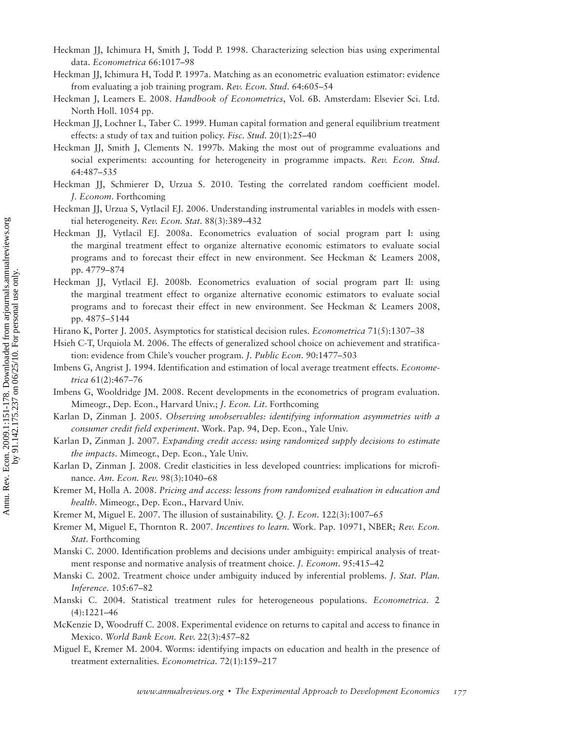- Heckman JJ, Ichimura H, Smith J, Todd P. 1998. Characterizing selection bias using experimental data. Econometrica 66:1017–98
- Heckman JJ, Ichimura H, Todd P. 1997a. Matching as an econometric evaluation estimator: evidence from evaluating a job training program. Rev. Econ. Stud. 64:605–54
- Heckman J, Leamers E. 2008. Handbook of Econometrics, Vol. 6B. Amsterdam: Elsevier Sci. Ltd. North Holl. 1054 pp.
- Heckman JJ, Lochner L, Taber C. 1999. Human capital formation and general equilibrium treatment effects: a study of tax and tuition policy. Fisc. Stud. 20(1):25–40
- Heckman JJ, Smith J, Clements N. 1997b. Making the most out of programme evaluations and social experiments: accounting for heterogeneity in programme impacts. Rev. Econ. Stud. 64:487–535
- Heckman JJ, Schmierer D, Urzua S. 2010. Testing the correlated random coefficient model. J. Econom. Forthcoming
- Heckman JJ, Urzua S, Vytlacil EJ. 2006. Understanding instrumental variables in models with essential heterogeneity. Rev. Econ. Stat. 88(3):389–432
- Heckman JJ, Vytlacil EJ. 2008a. Econometrics evaluation of social program part I: using the marginal treatment effect to organize alternative economic estimators to evaluate social programs and to forecast their effect in new environment. See Heckman & Leamers 2008, pp. 4779–874
- Heckman JJ, Vytlacil EJ. 2008b. Econometrics evaluation of social program part II: using the marginal treatment effect to organize alternative economic estimators to evaluate social programs and to forecast their effect in new environment. See Heckman & Leamers 2008, pp. 4875–5144
- Hirano K, Porter J. 2005. Asymptotics for statistical decision rules. *Econometrica* 71(5):1307–38
- Hsieh C-T, Urquiola M. 2006. The effects of generalized school choice on achievement and stratification: evidence from Chile's voucher program. J. Public Econ. 90:1477–503
- Imbens G, Angrist J. 1994. Identification and estimation of local average treatment effects. Econometrica 61(2):467–76
- Imbens G, Wooldridge JM. 2008. Recent developments in the econometrics of program evaluation. Mimeogr., Dep. Econ., Harvard Univ.; J. Econ. Lit. Forthcoming
- Karlan D, Zinman J. 2005. Observing unobservables: identifying information asymmetries with a consumer credit field experiment. Work. Pap. 94, Dep. Econ., Yale Univ.
- Karlan D, Zinman J. 2007. Expanding credit access: using randomized supply decisions to estimate the impacts. Mimeogr., Dep. Econ., Yale Univ.
- Karlan D, Zinman J. 2008. Credit elasticities in less developed countries: implications for microfinance. Am. Econ. Rev. 98(3):1040–68
- Kremer M, Holla A. 2008. Pricing and access: lessons from randomized evaluation in education and health. Mimeogr., Dep. Econ., Harvard Univ.
- Kremer M, Miguel E. 2007. The illusion of sustainability. Q. J. Econ. 122(3):1007–65
- Kremer M, Miguel E, Thornton R. 2007. Incentives to learn. Work. Pap. 10971, NBER; Rev. Econ. Stat. Forthcoming
- Manski C. 2000. Identification problems and decisions under ambiguity: empirical analysis of treatment response and normative analysis of treatment choice. J. Econom. 95:415–42
- Manski C. 2002. Treatment choice under ambiguity induced by inferential problems. J. Stat. Plan. Inference. 105:67–82
- Manski C. 2004. Statistical treatment rules for heterogeneous populations. Econometrica. 2 (4):1221–46
- McKenzie D, Woodruff C. 2008. Experimental evidence on returns to capital and access to finance in Mexico. World Bank Econ. Rev. 22(3):457–82
- Miguel E, Kremer M. 2004. Worms: identifying impacts on education and health in the presence of treatment externalities. Econometrica. 72(1):159–217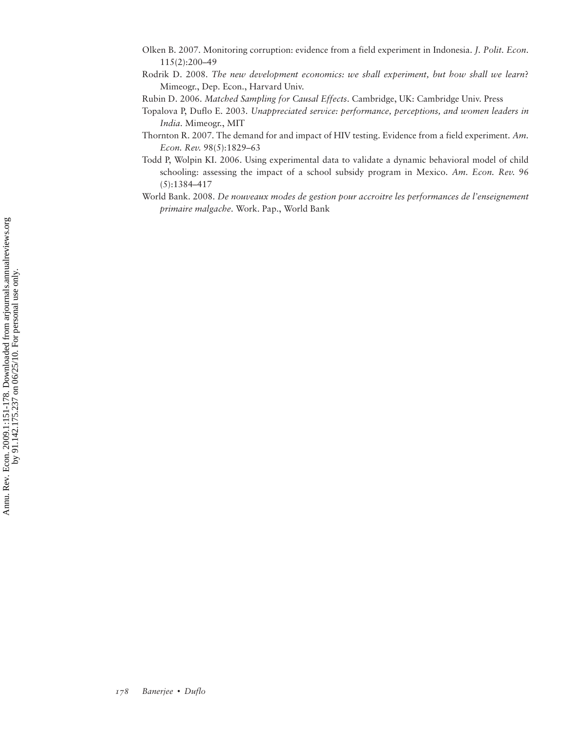- Olken B. 2007. Monitoring corruption: evidence from a field experiment in Indonesia. J. Polit. Econ. 115(2):200–49
- Rodrik D. 2008. The new development economics: we shall experiment, but how shall we learn? Mimeogr., Dep. Econ., Harvard Univ.

Rubin D. 2006. Matched Sampling for Causal Effects. Cambridge, UK: Cambridge Univ. Press

- Topalova P, Duflo E. 2003. Unappreciated service: performance, perceptions, and women leaders in India. Mimeogr., MIT
- Thornton R. 2007. The demand for and impact of HIV testing. Evidence from a field experiment. Am. Econ. Rev. 98(5):1829–63
- Todd P, Wolpin KI. 2006. Using experimental data to validate a dynamic behavioral model of child schooling: assessing the impact of a school subsidy program in Mexico. Am. Econ. Rev. 96 (5):1384–417
- World Bank. 2008. De nouveaux modes de gestion pour accroitre les performances de l'enseignement primaire malgache. Work. Pap., World Bank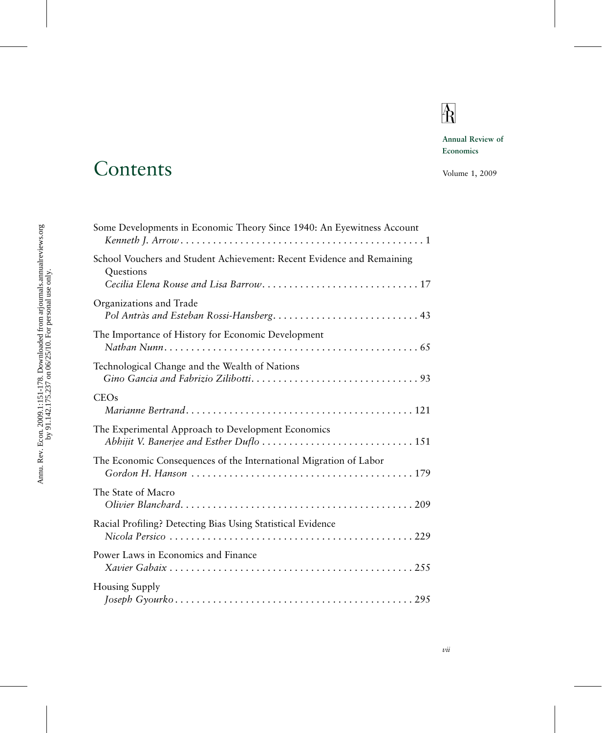# $\overline{R}$

Annual Review of Economics

### **Contents**

Volume 1, 2009

| Some Developments in Economic Theory Since 1940: An Eyewitness Account              |
|-------------------------------------------------------------------------------------|
| School Vouchers and Student Achievement: Recent Evidence and Remaining<br>Questions |
| Organizations and Trade                                                             |
| The Importance of History for Economic Development                                  |
| Technological Change and the Wealth of Nations                                      |
| CEOs                                                                                |
| The Experimental Approach to Development Economics                                  |
| The Economic Consequences of the International Migration of Labor                   |
| The State of Macro                                                                  |
| Racial Profiling? Detecting Bias Using Statistical Evidence                         |
| Power Laws in Economics and Finance                                                 |
| <b>Housing Supply</b>                                                               |